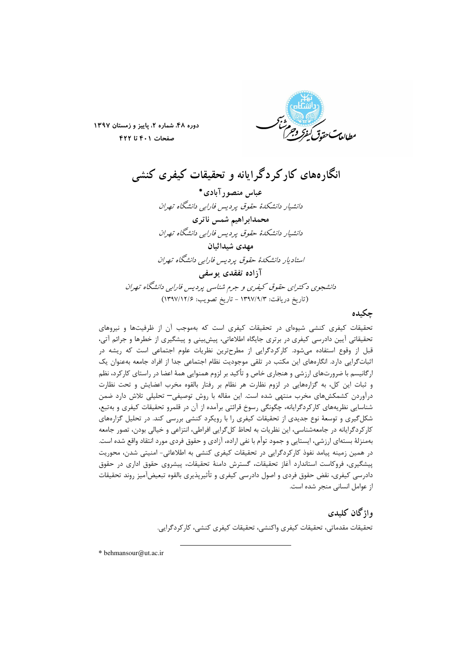

دوره ۴۸، شماره ۲، پاییز و زمستان ۱۳۹۷ صفحات ۴۰۱ تا ۴۲۲

انگار ههای کارکر دگرایانه و تحقیقات کیفری کنشی

عباس منصور آبادی \* دانشیار دانشکدهٔ حقوق پردیس فارابی دانشگاه تهران محمدابراهيم شمس ناترى دانشیار دانشکدهٔ حقوق پردیس فارابی دانشگاه تهران مهدى شىدائيان استادیار دانشکدهٔ حقوق پردیس فارایی دانشگاه تهران آزاده تفقدی یوسفی دانشجوی د کترای حقوق کیفری و جرم شناسی پردیس فارابی دانشگاه تهران (تاريخ دريافت: ١٣٩٧/٩/٣ - تاريخ تصويب: ١٣٩٧/١٢/٤)

## حكىدە

تحقیقات کیفری کنشی شیوهای در تحقیقات کیفری است که بهموجب آن از ظرفیتها و نیروهای تحقیقاتی آیین دادرسی کیفری در برتری جایگاه اطلاعاتی، پیشبینی و پیشگیری از خطرها و جرائم آتی، قبل از وقوع استفاده میشود. کارکردگرایی از مطرحترین نظریات علوم اجتماعی است که ریشه در اثباتگرایی دارد. انگارههای این مکتب در تلقی موجودیت نظام اجتماعی جدا از افراد جامعه بهعنوان یک ارگانیسم با ضرورتهای ارزشی و هنجاری خاص و تأکید بر لزوم همنوایی همهٔ اعضا در راستای کارکرد، نظم و ثبات این کل، به گزارههایی در لزوم نظارت هر نظام بر رفتار بالقوه مخرب اعضایش و تحت نظارت درآوردن کشمکشهای مخرب منتهی شده است. این مقاله با روش توصیفی— تحلیلی تلاش دارد ضمن شناسایی نظریههای کارکردگرایانه، چگونگی رسوخ قرائتی برآمده از آن در قلمرو تحقیقات کیفری و بهتبع، شکل گیری و توسعهٔ نوع جدیدی از تحقیقات کیفری را با رویکرد کنشی بررسی کند. در تحلیل گزارههای کارکردگرایانه در جامعهشناسی، این نظریات به لحاظ کل گرایی افراطی، انتزاعی و خیالی بودن، تصور جامعه بهمنزلهٔ بستهای ارزشی، ایستایی و جمود توأم با نفی اراده، آزادی و حقوق فردی مورد انتقاد واقع شده است. در همین زمینه پیامد نفوذ کارکردگرایی در تحقیقات کیفری کنشی به اطلاعاتی- امنیتی شدن، محوریت پیشگیری، فروکاست استاندارد آغاز تحقیقات، گسترش دامنهٔ تحقیقات، پیشروی حقوق اداری در حقوق دادرسی کیفری، نقض حقوق فردی و اصول دادرسی کیفری و تأثیرپذیری بالقوه تبعیضآمیز روند تحقیقات از عوامل انسانی منجر شده است.

واژگان كليدي

تحقیقات مقدماتی، تحقیقات کیفری واکنشی، تحقیقات کیفری کنشی، کارکردگرایی.

\* behmansour@ut.ac.ir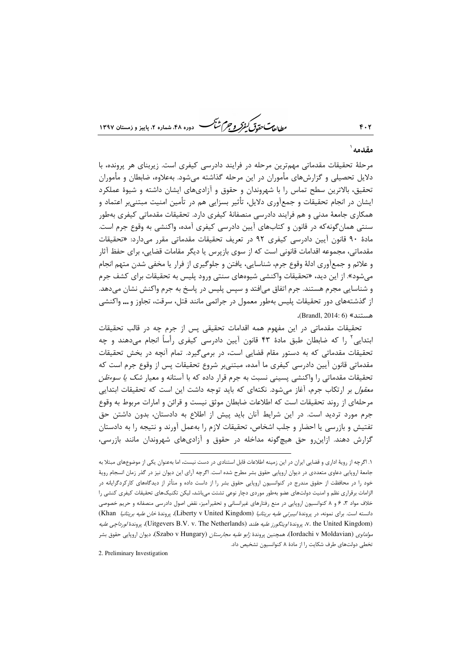-<br>۷- دوره ۴۸، شماره ۲، باییز و زمستان ۱۳۹۷

#### مقدمه`

 $f \cdot Y$ 

مرحلهٔ تحقیقات مقدماتی مهمترین مرحله در فرایند دادرسی کیفری است. زیربنای هر پرونده، با دلایل تحصیلی و گزارشهای مأموران در این مرحله گذاشته میشود. بهعلاوه، ضابطان و مأموران تحقیق، بالاترین سطح تماس را با شهروندان و حقوق و آزادیهای ایشان داشته و شیوهٔ عملکرد ایشان در انجام تحقیقات و جمعآوری دلایل، تأثیر بسزایی هم در تأمین امنیت مبتنیٖبر اعتماد و همکاری جامعهٔ مدنی و هم فرایند دادرسی منصفانهٔ کیفری دارد. تحقیقات مقدماتی کیفری بهطور سنتي همان گونه که در قانون و کتابهاي آيين دادرسي کيفري آمده، واکنشي به وقوع جرم است. مادهٔ ۹۰ قانون آیین دادرسی کیفری ۹۲ در تعریف تحقیقات مقدماتی مقرر میدارد: «تحقیقات مقدماتی، مجموعه اقدامات قانونی است که از سوی بازپرس یا دیگر مقامات قضایی، برای حفظ آثار و علائم و جمعآوري ادلهٔ وقوع جرم، شناسايي، يافتن و جلوگيري از فرار يا مخفي شدن متهم انجام میشود». از این دید، «تحقیقات واکنشی شیوههای سنتی ورود پلیس به تحقیقات برای کشف جرم و شناسایی مجرم هستند. جرم اتفاق می|فتد و سپس پلیس در پاسخ به جرم واکنش نشان میدهد. از گذشتههای دور تحقیقات پلیس بهطور معمول در جرائمی مانند قتل، سرقت، تجاوز و … واکنشی هستند» (Brandl, 2014: 6).

*طالعات حقوق كيفركو جرم شبح* 

تحقیقات مقدماتی در این مفهوم همه اقدامات تحقیقی پس از جرم چه در قالب تحقیقات ابتدایی ٔ را که ضابطان طبق مادهٔ ۴۳ قانون آیین دادرسی کیفری رأساً انجام میدهند و چه تحقیقات مقدماتی که به دستور مقام قضایی است، در برمی گیرد. تمام آنچه در بخش تحقیقات مقدماتی قانون اّیین دادرسی کیفری ما اَمده، مبتنیٖبر شروع تحقیقات پس از وقوع جرم است که تحقیقات مقدماتی را واکنشی پسینی نسبت به جرم قرار داده که با آستانه و معیار *شک یا سوءظن معقول* بر ارتکاب جرم، آغاز می شود. نکتهای که باید توجه داشت این است که تحقیقات ابتدایی مرحلهای از روند تحقیقات است که اطلاعات ضابطان موثق نیست و قرائن و امارات مربوط به وقوع جرم مورد تردید است. در این شرایط آنان باید پیش از اطلاع به دادستان، بدون داشتن حق تفتيش و بازرسي يا احضار و جلب اشخاص، تحقيقات لازم را بهعمل آورند و نتيجه را به دادستان گزارش دهند. ازاین و حق هیچگونه مداخله در حقوق و آزادیهای شهروندان مانند بازرسی،

2. Preliminary Investigation

۱. اگرچه از رویهٔ اداری و قضایی ایران در این زمینه اطلاعات قابل استنادی در دست نیست، اما بهعنوان یکی از موضوعهای مبتلا به جامعهٔ اروپایی دعاوی متعددی در دیوان اروپایی حقوق بشر مطرح شده است. اگرچه آرای این دیوان نیز در گذر زمان انسجام رویهٔ خود را در محافظت از حقوق مندرج در کنوانسیون اروپایی حقوق بشر را از داست داده و متأثر از دیدگاههای کارکردگرایانه در الزامات برقراری نظم و امنیت دولتهای عضو بهطور موردی دچار نوعی تشتت میباشد، لیکن تکنیکهای تحقیقات کیفری کنشی را خلاف مواد ۰٫۳ ۶ و ۸ کنوانسیون اروپایی در منع رفتارهای غیرانسانی و تحقیرآمیز، نقض اصول دادرسی منصفانه و حریم خصوصی دانسته است. برای نمونه، در پروندهٔ *لیبرتی علیه بریتانیا* (Liberty v United Kingdom)، پروندهٔ *خان علیه بریتانیا* Khan) v. the United Kingdom)، يودندهٔ ابويتگورز عليه هلند (Uitgevers B.V. v. The Netherlands)، يودندهٔ لورداجي عليه م*ولداوي (*Iordachi v Moldavian)، همچنين پروندهٔ *زابو عليه مجارستان (*Szabo v Hungary)، ديوان اروپايي حقوق بشر تخطی دولتهای طرف شکایت را از مادهٔ ۸ کنوانسیون تشخیص داد.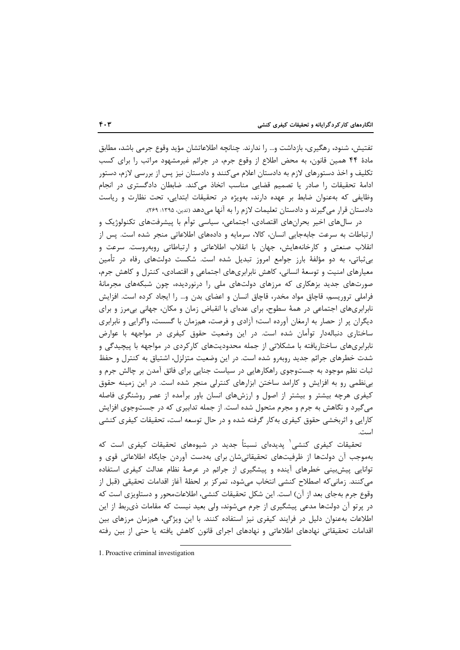تفتیش، شنود، رهگیری، بازداشت و… را ندارند. چنانچه اطلاعاتشان مؤید وقوع جرمی باشد، مطابق مادهٔ ۴۴ همین قانون، به محض اطلاع از وقوع جرم، در جرائم غیرمشهود مراتب را برای کسب تکلیف و اخذ دستورهای لازم به دادستان اعلام می کنند و دادستان نیز پس از بررسی لازم، دستور ادامهٔ تحقیقات را صادر یا تصمیم قضایی مناسب اتخاذ میکند. ضابطان دادگستری در انجام وظایفی که بهعنوان ضابط بر عهده دارند، بهویژه در تحقیقات ابتدایی، تحت نظارت و ریاست دادستان قرار می گیرند و دادستان تعلیمات لازم را به آنها می دهد (تدین، ۱۳۹۵: ۲۶۹).

در سالهای اخیر بحرانهای اقتصادی، اجتماعی، سیاسی توأم با پیشرفتهای تکنولوژیک و ارتباطات به سرعت جابهجایی انسان، کالا، سرمایه و دادههای اطلاعاتی منجر شده است. پس از انقلاب صنعتی و کارخانههایش، جهان با انقلاب اطلاعاتی و ارتباطاتی روبهروست. سرعت و بی ثباتی، به دو مؤلفهٔ بارز جوامع امروز تبدیل شده است. شکست دولتهای رفاه در تأمین معیارهای امنیت و توسعهٔ انسانی، کاهش نابرابریهای اجتماعی و اقتصادی، کنترل و کاهش جرم، صورتهای جدید بزهکاری که مرزهای دولتهای ملی را درنوردیده، چون شبکههای مجرمانهٔ فراملی تروریسم، قاچاق مواد مخدر، قاچاق انسان و اعضای بدن و… را ایجاد کرده است. افزایش نابرابريهاي اجتماعي در همهٔ سطوح، براي عدهاي با انقباض زمان و مکان، جهاني بي مرز و براي دیگران پر از حصار به ارمغان آورده است؛ آزادی و فرصت، همزمان با گسست، واگرایی و نابرابری ساختاری دنبالهدار توأمان شده است. در این وضعیت حقوق کیفری در مواجهه با عوارض نابرابریهای ساختاریافته با مشکلاتی از جمله محدودیتهای کارکردی در مواجهه با پیچیدگی و شدت خطرهای جرائم جدید روبهرو شده است. در این وضعیت متزلزل، اشتیاق به کنترل و حفظ ثبات نظم موجود به جستوجوی راهکارهایی در سیاست جنایی برای فائق آمدن بر چالش جرم و بی نظمی رو به افزایش و کارامد ساختن ابزارهای کنترلی منجر شده است. در این زمینه حقوق کیفری هرچه بیشتر و بیشتر از اصول و ارزشهای انسان باور برآمده از عصر روشنگری فاصله میگیرد و نگاهش به جرم و مجرم متحول شده است. از جمله تدابیری که در جستوجوی افزایش کارایی و اثربخشی حقوق کیفری به کار گرفته شده و در حال توسعه است، تحقیقات کیفری کنشی است.

تحقیقات کیفری کنشی یدیدهای نسبتاً جدید در شیوههای تحقیقات کیفری است که بهموجب آن دولتها از ظرفیتهای تحقیقاتیشان برای بهدست آوردن جایگاه اطلاعاتی قوی و توانایی پیش بینی خطرهای آینده و پیشگیری از جرائم در عرصهٔ نظام عدالت کیفری استفاده میکنند. زمانی که اصطلاح کنشی انتخاب میشود، تمرکز بر لحظهٔ آغاز اقدامات تحقیقی (قبل از وقوع جرم بهجای بعد از آن) است. این شکل تحقیقات کنشی، اطلاعاتمحور و دستاویزی است که در پرتو آن دولتها مدعی پیشگیری از جرم میشوند، ولی بعید نیست که مقامات ذی ربط از این اطلاعات بهعنوان دلیل در فرایند کیفری نیز استفاده کنند. با این ویژگی، همزمان مرزهای بین اقدامات تحقیقاتی نهادهای اطلاعاتی و نهادهای اجرای قانون کاهش یافته یا حتی از بین رفته

1. Proactive criminal investigation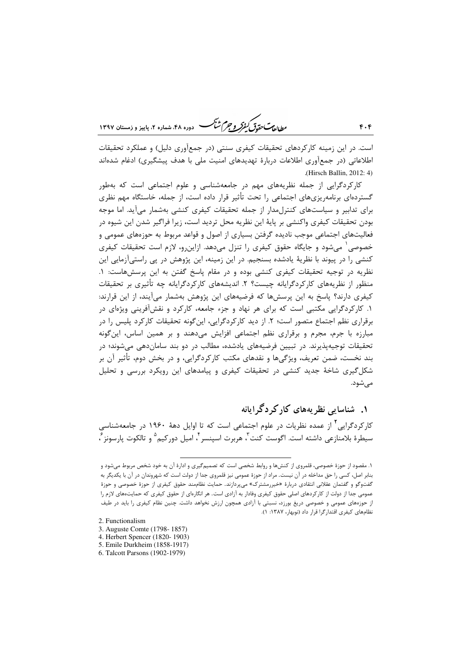مطالعات حقدق كنفركه وجرم شيحسه -<br>7 - دوره ۴۸، شماره ۲، بابیز و زمستان ۱۳۹۷

است. در این زمینه کارکردهای تحقیقات کیفری سنتی (در جمعآوری دلیل) و عملکرد تحقیقات اطلاعاتی (در جمعآوری اطلاعات دربارهٔ تهدیدهای امنیت ملی با هدف پیشگیری) ادغام شدهاند (Hirsch Ballin, 2012: 4)

کارکردگرایی از جمله نظریههای مهم در جامعهشناسی و علوم اجتماعی است که بهطور گستردهای برنامهریزیهای اجتماعی را تحت تأثیر قرار داده است، از جمله، خاستگاه مهم نظری برای تدابیر و سیاستهای کنترل مدار از جمله تحقیقات کیفری کنشی بهشمار می آید. اما موجه بودن تحقیقات کیفری واکنشی بر پایهٔ این نظریه محل تردید است، زیرا فراگیر شدن این شیوه در فعالیتهای اجتماعی موجب نادیده گرفتن بسیاری از اصول و قواعد مربوط به حوزههای عمومی و خصوصی ٰ میشود و جایگاه حقوق کیفری را تنزل میدهد. ازاین٫و، لازم است تحقیقات کیفری کنشی را در پیوند با نظریهٔ یادشده بسنجیم. در این زمینه، این پژوهش در پی راستیآزمایی این نظریه در توجیه تحقیقات کیفری کنشی بوده و در مقام پاسخ گفتن به این پرسشهاست: ۱. منظور از نظریههای کارکردگرایانه چیست؟ ۲. اندیشههای کارکردگرایانه چه تأثیری بر تحقیقات کیفری دارند؟ پاسخ به این پرسشها که فرضیههای این پژوهش بهشمار میآیند، از این قرارند: ۱. کارکردگرایی مکتبی است که برای هر نهاد و جزء جامعه، کارکرد و نقش آفرینی ویژهای در برقراری نظم اجتماع متصور است؛ ۲. از دید کارکردگرایی، اینگونه تحقیقات کارکرد پلیس را در مبارزه با جرم، مجرم و برقراری نظم اجتماعی افزایش میدهند و بر همین اساس، این گونه تحقیقات توجیهپذیرند. در تبیین فرضیههای یادشده، مطالب در دو بند ساماندهی می شوند؛ در بند نخست، ضمن تعریف، ویژگیها و نقدهای مکتب کارکردگرایی، و در بخش دوم، تأثیر آن بر شکل گیری شاخهٔ جدید کنشی در تحقیقات کیفری و پیامدهای این رویکرد بررسی و تحلیل مے شود.

## ۱. شناسایی نظر بههای کار کردگرایانه

کارکردگرایی ٔ از عمده نظریات در علوم اجتماعی است که تا اوایل دههٔ ۱۹۶۰ در جامعهشناسی سيطرۂ بلامنازعي داشته است. اگوست كنت<sup>٢</sup>، هربرت اسينسر <sup>٢</sup>، اميل دور كيم<sup>۵</sup> و تالكوت يارسونز ً،

۱. مقصود از حوزهٔ خصوصی، قلمروی از کنشها و روابط شخصی است که تصمیم5یری و ادارهٔ آن به خود شخص مربوط میشود و بنابر اصل، کسی را حق مداخله در آن نیست. مراد از حوزهٔ عمومی نیز قلمروی جدا از دولت است که شهروندان در آن با یکدیگر به گفتوگو و گفتمان عقلانی انتقادی دربارهٔ «خیررمشترک» میپردازند. حمایت نظاممند حقوق کیفری از حوزهٔ خصوصی و حوزهٔ عمومی جدا از دولت از کارکردهای اصلی حقوق کیفری وفادار به آزادی است. هر انگارهای از حقوق کیفری که حمایت‱های لازم را از حوزههای عمومی و خصوصی دریغ بورزد، نسبتی با آزادی همچون ارزش نخواهد داشت. چنین نظام کیفری را باید در طیف نظامهای کیفری اقتدار گرا قرار داد (نوبهار، ۱۳۸۷: ۱).

<sup>2.</sup> Functionalism

<sup>3.</sup> Auguste Comte (1798-1857)

<sup>4.</sup> Herbert Spencer (1820-1903)

<sup>5.</sup> Emile Durkheim (1858-1917)

<sup>6.</sup> Talcott Parsons (1902-1979)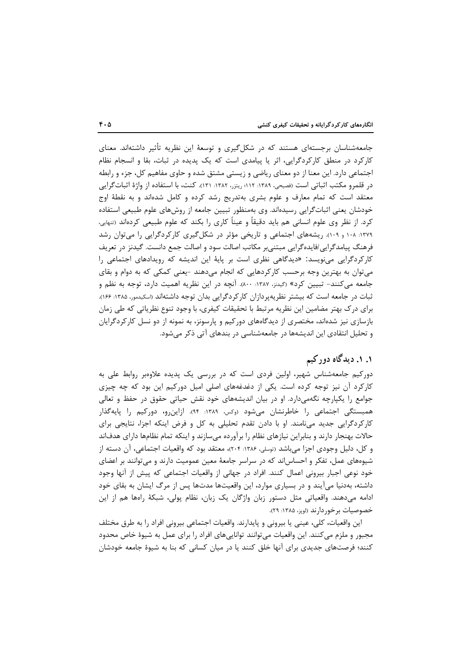جامعهشناسان برجستهای هستند که در شکلگیری و توسعهٔ این نظریه تأثیر داشتهاند. معنای کارکرد در منطق کارکردگرایی، اثر یا پیامدی است که یک پدیده در ثبات، بقا و انسجام نظام اجتماعی دارد. این معنا از دو معنای ریاضی و زیستی مشتق شده و حاوی مفاهیم کل، جزء و رابطه در قلمرو مكتب اثباتي است (فصيحي، ١٣٨٩: ١١٢، ريتزر، ١٣٨٢: ١٣١). كنت، با استفاده از واژهٔ اثبات گرايي معتقد است که تمام معارف و علوم بشری بهتدریج رشد کرده و کامل شدهاند و به نقطهٔ اوج خودشان يعني اثبات\$رايي رسيدهاند. وي بهمنظور تبيين جامعه از روشهاي علوم طبيعي استفاده کرد. از نظر وی علوم انسانی هم باید دقیقاً و عیناً کاری را بکند که علوم طبیعی کردهاند (تنهایی، ۱۳۷۹: ۱۰۸ و ۱۰۹). ریشههای اجتماعی و تاریخی مؤثر در شکل گیری کارکردگرایی را میتوان رشد فرهنگ پیامدگرایی/فایدهگرایی مبتنی,ر مکاتب اصالت سود و اصالت جمع دانست. گیدنز در تعریف کارکردگرایی مینویسد: «دیدگاهی نظری است بر پایهٔ این اندیشه که رویدادهای اجتماعی را میتوان به بهترین وجه برحسب کارکردهایی که انجام میدهند -یعنی کمکی که به دوام و بقای جامعه می کنند- تبیین کرد» (گیدنز، ۱۳۸۷: ۸۰۰). آنچه در این نظریه اهمیت دارد، توجه به نظم و ثبات در جامعه است که بیشتر نظریهپردازان کارکردگرایی بدان توجه داشتهاند «سکیدمور، ۱۳۸۵: ۱۶۶). برای درک بهتر مضامین این نظریه مرتبط با تحقیقات کیفری، با وجود تنوع نظریاتی که طی زمان بازسازی نیز شدهاند، مختصری از دیدگاههای دورکیم و پارسونز، به نمونه از دو نسل کارکردگرایان و تحلیل انتقادی این اندیشهها در جامعهشناسی در بندهای آتی ذکر می شود.

## ۱. ۱. دیدگاه دورکیم

دورکیم جامعهشناس شهیر، اولین فردی است که در بررسی یک پدیده علاوهبر روابط علی به کارکرد آن نیز توجه کرده است. یکی از دغدغههای اصلی امیل دورکیم این بود که چه چیزی جوامع را یکپارچه نگهمیدارد. او در بیان اندیشههای خود نقش حیاتی حقوق در حفظ و تعالی همبستگی اجتماعی را خاطرنشان میشود (وکس، ۱۳۸۹: ۹۴). ازاین,رو، دورکیم را پایهگذار کارکردگرایی جدید مینامند. او با دادن تقدم تحلیلی به کل و فرض اینکه اجزا، نتایجی برای حالات بهنجار دارند و بنابراین نیازهای نظام را برآورده میسازند و اینکه تمام نظامها دارای هدفاند و کل، دلیل وجودی اجزا میباشد (توسلی، ۱۳۸۶: ۲۰۴)، معتقد بود که واقعیات اجتماعی، آن دسته از شیوههای عمل، تفکر و احساس اند که در سراسر جامعهٔ معین عمومیت دارند و می توانند بر اعضای خود نوعی اجبار بیرونی اعمال کنند. افراد در جهانی از واقعیات اجتماعی که پیش از آنها وجود داشته، بهدنیا میآیند و در بسیاری موارد، این واقعیتها مدتها پس از مرگ ایشان به بقای خود ادامه میدهند. واقعیاتی مثل دستور زبان واژگان یک زبان، نظام پولی، شبکهٔ رامها هم از این خصوصیات برخور دارند (لوپز، ۱۳۸۵: ۲۹).

این واقعیات، کلی، عینی یا بیرونی و پایدارند. واقعیات اجتماعی بیرونی افراد را به طرق مختلف مجبور و ملزم میکنند. این واقعیات میتوانند تواناییهای افراد را برای عمل به شیوهٔ خاص محدود کنند؛ فرصتهای جدیدی برای آنها خلق کنند یا در میان کسانی که بنا به شیوهٔ جامعه خودشان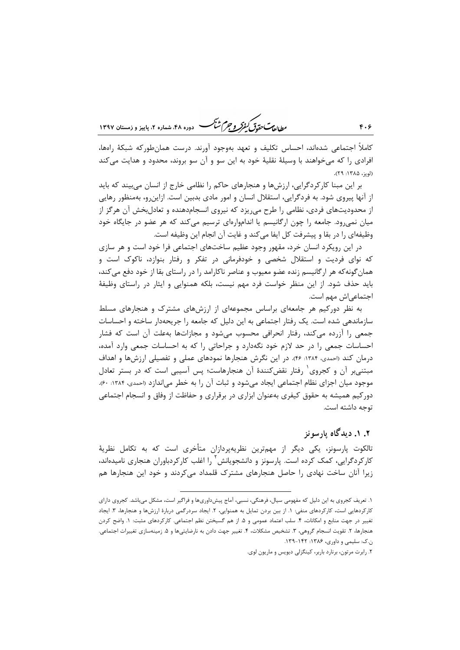ر<br>مط*ال*ی تحقی*ق گفتر و جرم شنگ* دوده ۴۸، شعاره ۲، مامیز و زمستان ۱۳۹۷

کاملاً اجتماعی شدهاند، احساس تکلیف و تعهد بهوجود آورند. درست همانطورکه شبکهٔ راهها، افرادی را که میخواهند با وسیلهٔ نقلیهٔ خود به این سو و آن سو بروند، محدود و هدایت می کند (لويز، ۱۳۸۵: ۲۹).

بر این مبنا کارکردگرایی، ارزشها و هنجارهای حاکم را نظامی خارج از انسان می بیند که باید از آنها پیروی شود. به فردگرایی، استقلال انسان و امور مادی بدبین است. ازاینرو، بهمنظور رهایی از محدودیتهای فردی، نظامی را طرح میریزد که نیروی انسجامدهنده و تعادلبخش آن هرگز از میان نمی٫ود. جامعه ٫ا چون ا٫گانیسم یا انداموا٫مای ترسیم می٬کند که هر عضو د٫ جایگاه خود وظيفهاي را در بقا و پيشرفت كل ايفا مي كند و غايت آن انجام اين وظيفه است.

در این رویکرد انسان خرد، مقهور وجود عظیم ساختهای اجتماعی فرا خود است و هر سازی که نوای فردیت و استقلال شخصی و خودفرمانی در تفکر و رفتار بنوازد، ناکوک است و همان گونه که هر ار گانیسم زنده عضو معیوب و عناصر ناکارامد را در راستای بقا از خود دفع می کند، باید حذف شود. از این منظر خواست فرد مهم نیست، بلکه همنوایی و ایثار در راستای وظیفهٔ اجتماعي¦ش مهم است.

به نظر دورکیم هر جامعهای براساس مجموعهای از ارزشهای مشترک و هنجارهای مسلط سازماندهی شده است. یک رفتار اجتماعی به این دلیل که جامعه را جریحهدار ساخته و احساسات جمعی را آزرده میکند، رفتار انحرافی محسوب میشود و مجازاتها بهعلت آن است که فشار احساسات جمعی را در حد لازم خود نگهدارد و جراحاتی را که به احساسات جمعی وارد آمده، درمان کند «احمدی، ۱۳۸۴: ۴۶». در این نگرش هنجارها نمودهای عملی و تفصیلی ارزشها و اهداف مبتنی بر آن و کجروی و رفتار نقضکنندهٔ آن هنجارهاست؛ پس آسیبی است که در بستر تعادل موجود ميان اجزاى نظام اجتماعي ايجاد مي شود و ثبات آن را به خطر مي اندازد (احمدي، ١٣٨٤: ٤٠). دورکیم همیشه به حقوق کیفری بهعنوان ابزاری در برقراری و حفاظت از وفاق و انسجام اجتماعی توحه داشته است.

## ۲. ۱. دیدگاه یارسونز

تالکوت پارسونز، یکی دیگر از مهمترین نظریهپردازان متأخری است که به تکامل نظریهٔ کارکردگرایی، کمک کرده است. پارسونز و دانشجویانش ٔ را اغلب کارکردباوران هنجاری نامیدهاند، زیرا آنان ساخت نهادی را حاصل هنجارهای مشترک قلمداد میکردند و خود این هنجارها هم

 $F.5$ 

۱. تعریف کجروی به این دلیل که مفهومی سیال، فرهنگی، نسبی، آماج پیش،اوریها و فراگیر است، مشکل می باشد. کجروی دارای کارکردهایی است، کارکردهای منفی: ۱. از بین بردن تمایل به همنوایی، ۲. ایجاد سردرگمی دربارهٔ ارزشها و هنجارها، ۳. ایجاد تغيير در جهت منابع و امكانات، ۴. سلب اعتماد عمومي و ۵. از هم گسيختن نظم اجتماعي. كاركردهاي مثبت: ۱. واضح كردن هنجارها، ۲. تقویت انسجام گروهی، ۳. تشخیص مشکلات، ۴. تغییر جهت دادن به نارضایتیها و ۵. زمینهسازی تغییرات اجتماعی. ن.ک: سلیمی و داوری، ۱۳۸۶: ۱۴۲-۱۳۹.

۲. رابرت مرتون، برنارد باربر، کینگزلی دیویس و ماریون لوی.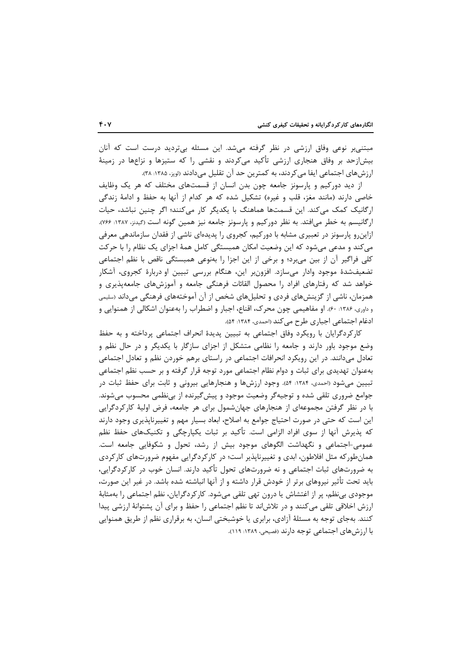مبتنی پر نوعی وفاق ارزشی در نظر گرفته می شد. این مسئله بی تردید درست است که آنان بیش|زحد بر وفاق هنجاری ارزشی تأکید میکردند و نقشی را که ستیزها و نزاعها در زمینهٔ ارزشهای اجتماعی ایفا می کردند، به کمترین حد آن تقلیل می دادند (لوپز، ۱۳۸۵: ۳۸).

از دید دورکیم و پارسونز جامعه چون بدن انسان از قسمتهای مختلف که هر یک وظایف خاصی دارند (مانند مغز، قلب و غیره) تشکیل شده که هر کدام از آنها به حفظ و ادامهٔ زندگی ارگانیک کمک می کند. این قسمتها هماهنگ با یکدیگر کار می کنند؛ اگر چنین نباشد، حیات ارگانیسم به خطر می|فتد. به نظر دورکیم و پارسونز جامعه نیز همین گونه است (گیدنز، ۱۳۸۷: ۷۶۶). ازاینرو پارسونز در تعبیری مشابه با دورکیم، کجروی را پدیدهای ناشی از فقدان سازماندهی معرفی میکند و مدعی میشود که این وضعیت امکان همبستگی کامل همهٔ اجزای یک نظام را با حرکت کلی فراگیر آن از بین می برد؛ و برخی از این اجزا را بهنوعی همبستگی ناقص با نظم اجتماعی تضعیفشدهٔ موجود وادار میسازد. افزون ر این، هنگام بررسی تبیین او دربارهٔ کجروی، آشکار خواهد شد که رفتارهای افراد را محصول القائات فرهنگی جامعه و آموزشهای جامعهپذیری و همزمان، ناشی از گزینشهای فردی و تحلیلهای شخص از آن آموختههای فرهنگی میداند (سلیمی و داوري، ۱۳۸۶: ۶۰). او مفاهيمي چون محرک، اقناع، اجبار و اضطراب را بهعنوان اشکالي از همنوايي و ادغام اجتماعی اجباری طرح می کند (احمدی، ۱۳۸۴: ۵۴).

كاركردگرايان با رويكرد وفاق اجتماعي به تبيين پديدهٔ انحراف اجتماعي پرداخته و به حفظ وضع موجود باور دارند و جامعه را نظامی متشکل از اجزای سازگار با یکدیگر و در حال نظم و تعادل میدانند. در این رویکرد انحرافات اجتماعی در راستای برهم خوردن نظم و تعادل اجتماعی بهعنوان تهدیدی برای ثبات و دوام نظام اجتماعی مورد توجه قرار گرفته و بر حسب نظم اجتماعی تبیین می شود (احمدی، ۱۳۸۴: ۵۴). وجود ارزشها و هنجارهایی بیرونی و ثابت برای حفظ ثبات در جوامع ضروری تلقی شده و توجیهگر وضعیت موجود و پیش گیرنده از بی نظمی محسوب می شوند. با در نظر گرفتن مجموعهای از هنجارهای جهانشمول برای هر جامعه، فرض اولیهٔ کارکردگرایی این است که حتی در صورت احتیاج جوامع به اصلاح، ابعاد بسیار مهم و تغییرناپذیری وجود دارند که پذیرش آنها از سوی افراد الزامی است. تأکید بر ثبات یکپارچگی و تکنیکهای حفظ نظم عمومی-اجتماعی و نگهداشت الگوهای موجود بیش از رشد، تحول و شکوفایی جامعه است. همانطورکه مثل افلاطون، ابدی و تغییرناپذیر است؛ در کارکردگرایی مفهوم ضرورتهای کارکردی به ضرورتهای ثبات اجتماعی و نه ضرورتهای تحول تأکید دارند. انسان خوب در کارکردگرایی، باید تحت تأثیر نیروهای برتر از خودش قرار داشته و از آنها انباشته شده باشد. در غیر این صورت، موجودي بي نظم، پر از اغتشاش يا درون تهي تلقى مي شود. كار كردگرايان، نظم اجتماعي را بهمثابهٔ ارزش اخلاقی تلقی میکنند و در تلاشاند تا نظم اجتماعی را حفظ و برای آن پشتوانهٔ ارزشی پیدا کنند. بهجای توجه به مسئلهٔ آزادی، برابری یا خوشبختی انسان، به برقراری نظم از طریق همنوایی با ارزش های اجتماعی توجه دارند (فصیحی، ۱۳۸۹: ۱۱۹).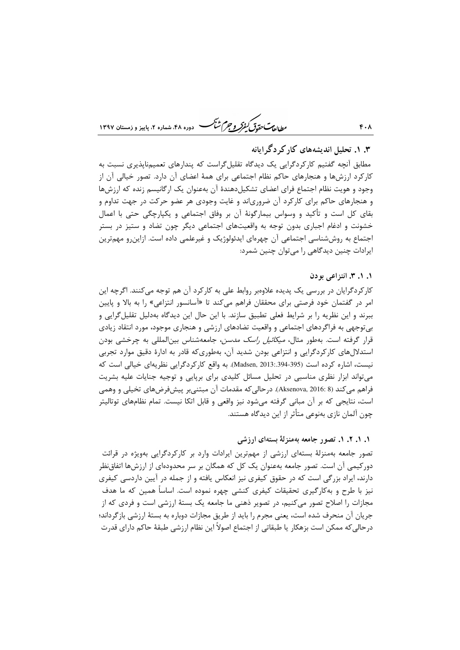ر<br>مطالعات متوق کیفر و جرم شنگ دوده ۴۸، شعاده ۲، باییز و زمستان ۱۳۹۷

۰. ۱. تحلیل اندیشههای کار کردگرایانه

مطابق اَنچه گفتیم کارکردگرایی یک دیدگاه تقلیل گراست که پندارهای تعمیمناپذیری نسبت به کارکرد ارزشها و هنجارهای حاکم نظام اجتماعی برای همهٔ اعضای آن دارد. تصور خیالی آن از وجود و هويت نظام اجتماع فراي اعضاي تشكيل‹هندهٔ آن بهعنوان يک ارگانيسم زنده که ارزشها و هنجارهای حاکم برای کارکرد آن ضروریاند و غایت وجودی هر عضو حرکت در جهت تداوم و بقای کل است و تأکید و وسواس بیمارگونهٔ آن بر وفاق اجتماعی و یکپارچگی حتی با اعمال خشونت و ادغام اجباری بدون توجه به واقعیتهای اجتماعی دیگر چون تضاد و ستیز در بستر اجتماع به روششناسی اجتماعی آن چهرهای ایدئولوژیک و غیرعلمی داده است. ازاینرو مهمترین ايرادات چنين ديدگاهي را مي توان چنين شمرد:

### ١. ١. ٣. انتزاعي بودن

کارکردگرایان در بررسی یک پدیده علاوهبر روابط علی به کارکرد آن هم توجه میکنند. اگرچه این امر در گفتمان خود فرصتی برای محققان فراهم میکند تا «آسانسور انتزاعی» را به بالا و پایین ببرند و این نظریه را بر شرایط فعلی تطبیق سازند. با این حال این دیدگاه بهدلیل تقلیل گرایی و بی توجهی به فراگردهای اجتماعی و واقعیت تضادهای ارزشی و هنجاری موجود، مورد انتقاد زیادی قرار گرفته است. بهطور مثال، *میکائیل راسک مدسن*، جامعهشناس بینالمللی به چرخشی بودن استدلال های کارکردگرایی و انتزاعی بودن شدید آن، بهطوری که قادر به ادارهٔ دقیق موارد تجربی نیست، اشاره کرده است (395-394.3913.394). به واقع کارکردگرایی نظریهای خیالی است که می تواند ابزار نظری مناسبی در تحلیل مسائل کلیدی برای برپایی و توجیه جنایات علیه بشریت فراهم مي كند (8 :Aksenova, 2016). درحالي كه مقدمات آن مبتني, پيشفرضهاي تخيلي و وهمي است، نتایجی که بر آن مبانی گرفته میشود نیز واقعی و قابل اتکا نیست. تمام نظامهای توتالیتر چون آلمان نازی بەنوعی متأثر از این دیدگاه هستند.

### ۱. ۱. ۲. ۱. تصور جامعه بهمنزلهٔ بستهای ارزشی

تصور جامعه بهمنزلهٔ بستهای ارزشی از مهمترین ایرادات وارد بر کارکردگرایی بهویژه در قرائت دورکیمی آن است. تصور جامعه بهعنوان یک کل که همگان بر سر محدودهای از ارزشها اتفاق نظر دارند، ایراد بزرگی است که در حقوق کیفری نیز انعکاس یافته و از جمله در آیین داردسی کیفری نیز با طرح و بهکارگیری تحقیقات کیفری کنشی چهره نموده است. اساساً همین که ما هدف مجازات را اصلاح تصور میکنیم، در تصویر ذهنی ما جامعه یک بستهٔ ارزشی است و فردی که از جریان آن منحرف شده است، یعنی مجرم را باید از طریق مجازات دوباره به بستهٔ ارزشی بازگرداند؛ درحالي كه ممكن است بزهكار يا طبقاتي از اجتماع اصولاً اين نظام ارزشي طبقهٔ حاكم داراي قدرت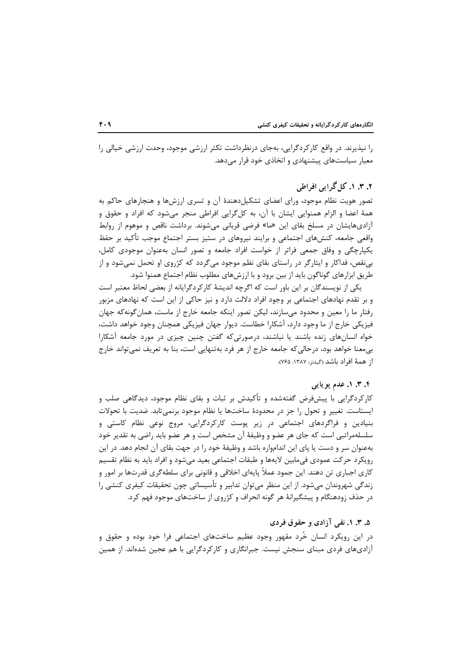را نپذیرند. در واقع کارکردگرایی، بهجای درنظرداشت تکثر ارزشی موجود، وحدت ارزشی خیالی را معیار سیاستهای پیشنهادی و اتخاذی خود قرار میدهد.

### ۲. ۳. ۱. کل گرایی افراطی

تصور هویت نظام موجود، ورای اعضای تشکیل دهندهٔ آن و تسری ارزشها و هنجارهای حاکم به همهٔ اعضا و الزام همنوایی ایشان با آن، به کلگرایی افراطی منجر میشود که افراد و حقوق و آزادیهایشان در مسلخ بقای این «ما» فرضی قربانی میشوند. برداشت ناقص و موهوم از روابط واقعی جامعه، کنشهای اجتماعی و برایند نیروهای در ستیز بستر اجتماع موجب تأکید بر حفظ یکیارچگی و وفاق جمعی فراتر از خواست افراد جامعه و تصور انسان بهعنوان موجودی کامل، بینقص، فداکار و ایثارگر در راستای بقای نظم موجود میگردد که کژروی او تحمل نمیشود و از طریق ابزارهای گوناگون باید از بین برود و با ارزشهای مطلوب نظام اجتماع همنوا شود.

یکی از نویسندگان بر این باور است که اگرچه اندیشهٔ کارکردگرایانه از بعضی لحاظ معتبر است و بر تقدم نهادهای اجتماعی بر وجود افراد دلالت دارد و نیز حاکی از این است که نهادهای مزبور رفتار ما را معین و محدود میسازند، لیکن تصور اینکه جامعه خارج از ماست، همان گونه که جهان فیزیکی خارج از ما وجود دارد، آشکارا خطاست. دیوار جهان فیزیکی همچنان وجود خواهد داشت، خواه انسانهای زنده باشند یا نباشند، درصورتی که گفتن چنین چیزی در مورد جامعه آشکارا بی معنا خواهد بود، درحالی که جامعه خارج از هر فرد بهتنهایی است، بنا به تعریف نمی تواند خارج از همهٔ افراد باشد (گیدنز، ۱۳۸۷: ۷۶۵).

### ۴. ۳. ۱. عدم پویایی

کارکردگرایی با پیشفرض گفتهشده و تأکیدش بر ثبات و بقای نظام موجود، دیدگاهی صلب و ايستاست. تغيير و تحول را جز در محدودة ساختها يا نظام موجود برنمي تابد. ضديت با تحولات بنیادین و فراگردهای اجتماعی در زیر پوست کارکردگرایی، مروج نوعی نظام کاستی و سلسلهمراتبی است که جای هر عضو و وظیفهٔ آن مشخص است و هر عضو باید راضی به تقدیر خود بهعنوان سر و دست یا پای این اندامواره باشد و وظیفهٔ خود را در جهت بقای آن انجام دهد. در این رويكرد حركت عمودي فيءابين لايهها و طبقات اجتماعي بعيد مي شود و افراد بايد به نظام تقسيم کاری اجباری تن دهند. این جمود عملاً پایهای اخلاقی و قانونی برای سلطه گری قدرتها بر امور و زندگی شهروندان می،شود. از این منظر می،توان تدابیر و تأسیساتی چون تحقیقات کیفری کنشی را در حذف زودهنگام و پیشگیرانهٔ هر گونه انحراف و کژروی از ساختهای موجود فهم کرد.

### ۵. ۳. ۱. نفي آزادي و حقوق فردي

در این رویکرد انسان خُرد مقهور وجود عظیم ساختهای اجتماعی فرا خود بوده و حقوق و آزادیهای فردی مبنای سنجش نیست. جبرانگاری و کارکردگرایی با هم عجین شدهاند. از همین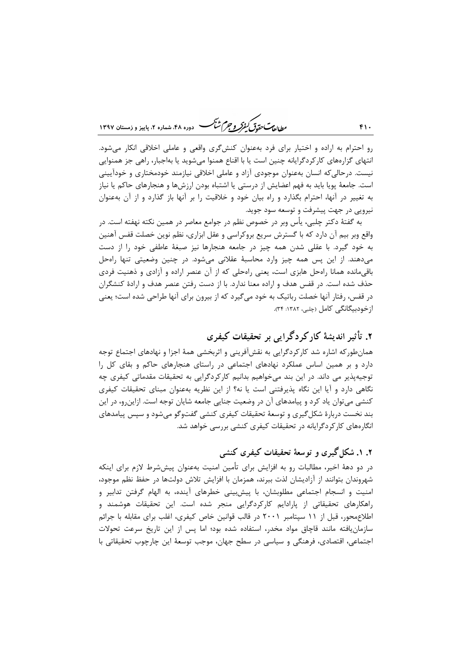ر<br>مط *لامات حقاق کفوکر و جرم شنگ* دوره ۴۸، شعاره ۲، پاییز و زمستان ۱۳۹۷

رو احترام به اراده و اختیار برای فرد بهعنوان کنش گری واقعی و عاملی اخلاقی انکار می شود. انتهای گزارههای کارکردگرایانه چنین است یا با اقناع همنوا میشوید یا بهاجبار، راهی جز همنوایی نیست. درحالی که انسان بهعنوان موجودی آزاد و عاملی اخلاقی نیازمند خودمختاری و خودآیینی است. جامعهٔ پویا باید به فهم اعضایش از درستی یا اشتباه بودن ارزشها و هنجارهای حاکم یا نیاز به تغییر در آنها، احترام بگذارد و راه بیان خود و خلاقیت را بر آنها باز گذارد و از آن بهعنوان نيرويي در جهت پيشرفت و توسعه سود جويد.

به گفتهٔ دکتر چلبی، یأس وبر در خصوص نظم در جوامع معاصر در همین نکته نهفته است. در واقع وبر بيم آن دارد كه با گسترش سريع بروكراسي و عقل ابزاري، نظم نوين خصلت قفس آهنين به خود گیرد. با عقلی شدن همه چیز در جامعه هنجارها نیز صبغهٔ عاطفی خود را از دست میدهند. از این پس همه چیز وارد محاسبهٔ عقلانی میشود. در چنین وضعیتی تنها راهحل باقی مانده همانا راهحل هابزی است، یعنی راهحلی که از آن عنصر اراده و آزادی و ذهنیت فردی حذف شده است. در قفس هدف و اراده معنا ندارد. با از دست رفتن عنصر هدف و ارادهٔ کنشگران در قفس، رفتار آنها خصلت رباتیک به خود میگیرد که از بیرون برای آنها طراحی شده است؛ یعنی ازخودسگانگے کامل (چلبی، ۱۳۸۲: ۳۴).

# ۲. تأثیر اندیشهٔ کار کردگرایی بر تحقیقات کیفری

همان طور که اشاره شد کارکردگرایی به نقش آفرینی و اثربخشی همهٔ اجزا و نهادهای اجتماع توجه دارد و بر همین اساس عملکرد نهادهای اجتماعی در راستای هنجارهای حاکم و بقای کل را توجیهپذیر می داند. در این بند میخواهیم بدانیم کارکردگرایی به تحقیقات مقدماتی کیفری چه نگاهی دارد و آیا این نگاه پذیرفتنی است یا نه؟ از این نظریه بهعنوان مبنای تحقیقات کیفری کنشی میتوان یاد کرد و پیامدهای آن در وضعیت جنایی جامعه شایان توجه است. ازاین رو، در این بند نخست دربارهٔ شکل گیری و توسعهٔ تحقیقات کیفری کنشی گفتوگو میشود و سپس پیامدهای انگا, مهای کا, کر دگرایانه در تحقیقات کیفری کنشی بررسی خواهد شد.

## ۲. ۱. شکل گیری و توسعهٔ تحقیقات کیفری کنشی

در دو دههٔ اخیر، مطالبات رو به افزایش برای تأمین امنیت بهعنوان پیششرط لازم برای اینکه شهروندان بتوانند از آزاديشان لذت ببرند، همزمان با افزايش تلاش دولتها در حفظ نظم موجود، امنیت و انسجام اجتماعی مطلوبشان، با پیش بینی خطرهای آینده، به الهام گرفتن تدابیر و راهکارهای تحقیقاتی از پارادایم کارکردگرایی منجر شده است. این تحقیقات هوشمند و اطلاع محور، قبل از ۱۱ سپتامبر ۲۰۰۱ در قالب قوانین خاص کیفری، اغلب برای مقابله با جرائم سازمان یافته مانند قاچاق مواد مخدر، استفاده شده بود؛ اما پس از این تاریخ سرعت تحولات اجتماعی، اقتصادی، فرهنگی و سیاسی در سطح جهان، موجب توسعهٔ این چارچوب تحقیقاتی با

 $f \cap$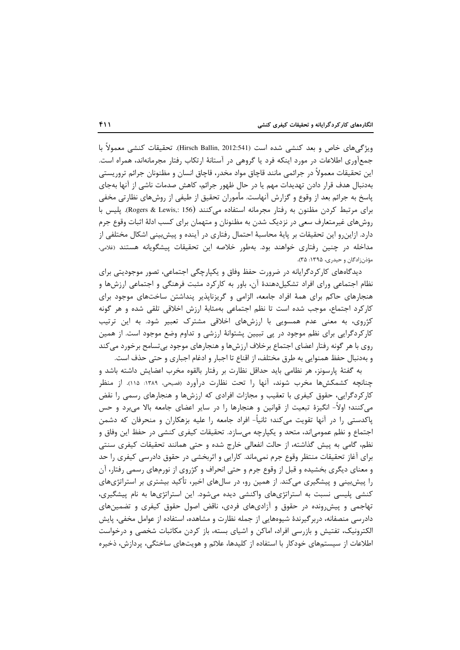ویژگی های خاص و بعد کنشی شده است (Hirsch Ballin, 2012:541). تحقیقات کنشی معمولاً با جمعآوری اطلاعات در مورد اینکه فرد یا گروهی در آستانهٔ ارتکاب رفتار مجرمانهاند، همراه است. این تحقیقات معمولاً در جرائمی مانند قاچاق مواد مخدر، قاچاق انسان و مظنونان جرائم تروریستی بهدنبال هدف قرار دادن تهدیدات مهم یا در حال ظهور جرائم، کاهش صدمات ناشی از آنها بهجای پاسخ به جرائم بعد از وقوع و گزارش آنهاست. مأموران تحقیق از طیفی از روشهای نظارتی مخفی برای مرتبط کردن مظنون به رفتار مجرمانه استفاده می کنند (Rogers & Lewis,: 156). پلیس با روشهای غیرمتعارف سعی در نزدیک شدن به مظنونان و متهمان برای کسب ادلهٔ اثبات وقوع جرم دارد. ازاینرو این تحقیقات بر پایهٔ محاسبهٔ احتمال رفتاری در آینده و پیشبینی اشکال مختلفی از مداخله در چنین رفتاری خواهند بود. بهطور خلاصه این تحقیقات پیشگویانه هستند (غلامی، مؤذن;ادگان و حيدري، ۱۳۹۵: ۳۵).

دیدگاههای کارکردگرایانه در ضرورت حفظ وفاق و یکپارچگی اجتماعی، تصور موجودیتی برای نظام اجتماعی ورای افراد تشکیلدهندهٔ آن، باور به کارکرد مثبت فرهنگی و اجتماعی ارزشها و هنجارهای حاکم برای همهٔ افراد جامعه، الزامی و گریزناپذیر پنداشتن ساختهای موجود برای کارکرد اجتماع، موجب شده است تا نظم اجتماعی بهمثابهٔ ارزش اخلاقی تلقی شده و هر گونه کژروی، به معنی عدم همسویی با ارزشهای اخلاقی مشترک تعبیر شود. به این ترتیب کارکردگرایی برای نظم موجود در پی تبیین پشتوانهٔ ارزشی و تداوم وضع موجود است. از همین روی با هر گونه رفتار اعضای اجتماع برخلاف ارزشها و هنجارهای موجود بی تسامح برخورد می کند و بهدنبال حفظ همنوايي به طرق مختلف، از اقناع تا اجبار و ادغام اجباري و حتى حذف است.

به گفتهٔ پارسونز، هر نظامی باید حداقل نظارت بر رفتار بالقوه مخرب اعضایش داشته باشد و چنانچه کشمکشها مخرب شوند، آنها را تحت نظارت درآورد (فصیحی، ۱۳۸۹: ۱۱۵). از منظر کارکردگرایی، حقوق کیفری با تعقیب و مجازات افرادی که ارزشها و هنجارهای رسمی را نقض میکنند؛ اولاً- انگیزهٔ تبعیت از قوانین و هنجارها را در سایر اعضای جامعه بالا میبرد و حس پاکدستی را در آنها تقویت میکند؛ ثانیاً– افراد جامعه را علیه بزهکاران و منحرفان که دشمن اجتماع و نظم عمومیاند، متحد و یکپارچه میسازد. تحقیقات کیفری کنشی در حفظ این وفاق و نظم، گامی به پیش گذاشته، از حالت انفعالی خارج شده و حتی همانند تحقیقات کیفری سنتی برای آغاز تحقیقات منتظر وقوع جرم نمیماند. کارایی و اثربخشی در حقوق دادرسی کیفری را حد و معنای دیگری بخشیده و قبل از وقوع جرم و حتی انحراف و کژروی از نورمهای رسمی رفتار، آن را پیشبینی و پیشگیری میکند. از همین رو، در سالهای اخیر، تأکید بیشتری بر استراتژیهای کنشی پلیسی نسبت به استراتژیهای واکنشی دیده می شود. این استراتژیها به نام پیشگیری، تهاجمی و پیش رونده در حقوق و آزادیهای فردی، ناقض اصول حقوق کیفری و تضمینهای دادرسی منصفانه، دربرگیرندهٔ شیوههایی از جمله نظارت و مشاهده، استفاده از عوامل مخفی، پایش الکترونیک، تفتیش و بازرسی افراد، اماکن و اشیای بسته، باز کردن مکاتبات شخصی و درخواست اطلاعات از سیستمهای خودکار با استفاده از کلیدها، علائم و هویتهای ساختگی، پردازش، ذخیره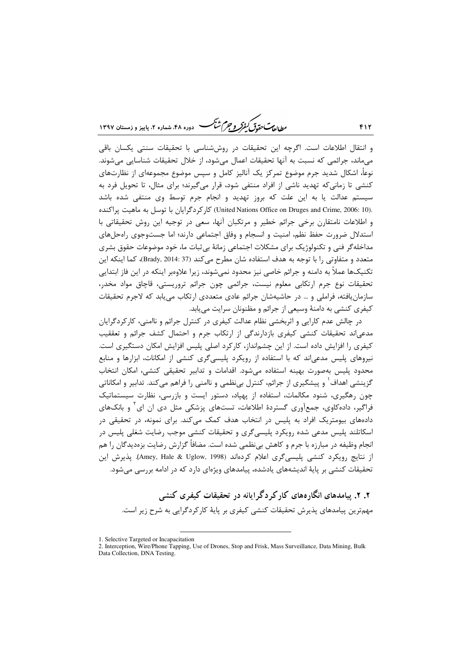ر<br>روان متحدّق *کفوکر و جرم شنگ* دوره ۴۸، شماره ۲، باییز و زمستان ۱۳۹۷

و انتقال اطلاعات است. اگرچه این تحقیقات در روششناسی با تحقیقات سنتی یکسان باقی میماند، جرائمی که نسبت به آنها تحقیقات اعمال میشود، از خلال تحقیقات شناسایی میشوند. نوعاً، اشکال شدید جرم موضوع تمرکز یک آنالیز کامل و سپس موضوع مجموعهای از نظارتهای کنشی تا زمانی که تهدید ناشی از افراد منتفی شود، قرار می گیرند؛ برای مثال، تا تحویل فرد به سیستم عدالت یا به این علت که بروز تهدید و انجام جرم توسط وی منتفی شده باشد .(United Nations Office on Druges and Crime, 2006: 10) كاركردگرايان با توسل به ماهيت پراكنده و اطلاعات نامتقارن برخی جرائم خطیر و مرتکبان آنها، سعی در توجیه این روش تحقیقاتی با استدلال ضرورت حفظ نظم، امنیت و انسجام و وفاق اجتماعی دارند؛ اما جستوجوی راهحلهای مداخله گر فنی و تکنولوژیک برای مشکلات اجتماعی زمانهٔ بی ثبات ما، خود موضوعات حقوق بشری متعدد و متفاوتی را با توجه به هدف استفاده شان مطرح می کند (Brady, 2014: 37)، کما اینکه این تکنیکها عملاً به دامنه و جرائم خاصی نیز محدود نمیشوند، زیرا علاوهبر اینکه در این فاز ابتدایی تحقیقات نوع جرم ارتکابی معلوم نیست، جرائمی چون جرائم تروریستی، قاچاق مواد مخدر، سازمان یافته، فراملی و … در حاشیهشان جرائم عادی متعددی ارتکاب می یابد که لاجرم تحقیقات کیفری کنشی به دامنهٔ وسیعی از جرائم و مظنونان سرایت می یابد.

در چالش عدم کارایی و اثربخشی نظام عدالت کیفری در کنترل جرائم و ناامنی، کارکردگرایان مدعی|ند تحقیقات کنشی کیفری بازدارندگی از ارتکاب جرم و احتمال کشف جرائم و تعققیب کیفری را افزایش داده است. از این چشمانداز، کارکرد اصلی پلیس افزایش امکان دستگیری است. نیروهای پلیس مدعیاند که با استفاده از رویکرد پلیسیگری کنشی از امکانات، ابزارها و منابع محدود پلیس بهصورت بهینه استفاده می شود. اقدامات و تدابیر تحقیقی کنشی، امکان انتخاب گزینشی اهداف ٰ و پیشگیری از جرائم، کنترل بی نظمی و ناامنی را فراهم می کند. تدابیر و امکاناتی چون رهگیری، شنود مکالمات، استفاده از پهپاد، دستور ایست و بازرسی، نظارت سیستماتیک فراگیر، دادهکاوی، جمعآوری گستردهٔ اطلاعات، تستهای پزشکی مثل دی ان ای ٔ و بانکهای دادههای بیومتریک افراد به پلیس در انتخاب هدف کمک میکند. برای نمونه، در تحقیقی در اسکاتلند پلیس مدعی شده رویکرد پلیسیگری و تحقیقات کنشی موجب رضایت شغلی پلیس در انجام وظیفه در مبارزه با جرم و کاهش بیiظمی شده است. مضافاً گزارش رضایت بزهدیدگان را هم از نتايج رويكرد كنشى پليسىگرى اعلام كردهاند (Amey, Hale & Uglow, 1998). پذيرش اين تحقیقات کنشی بر یایهٔ اندیشههای یادشده، پیامدهای ویژهای دارد که در ادامه بررسی میشود.

۲. ۲. بیامدهای انگار وهای کار ک دگرایانه در تحقیقات کیفری کنشی مهمترین پیامدهای پذیرش تحقیقات کنشی کیفری بر پایهٔ کارکردگرایی به شرح زیر است.

 $fY$ 

<sup>1.</sup> Selective Targeted or Incapacitation

<sup>2.</sup> Interception, Wire/Phone Tapping, Use of Drones, Stop and Frisk, Mass Surveillance, Data Mining, Bulk Data Collection, DNA Testing.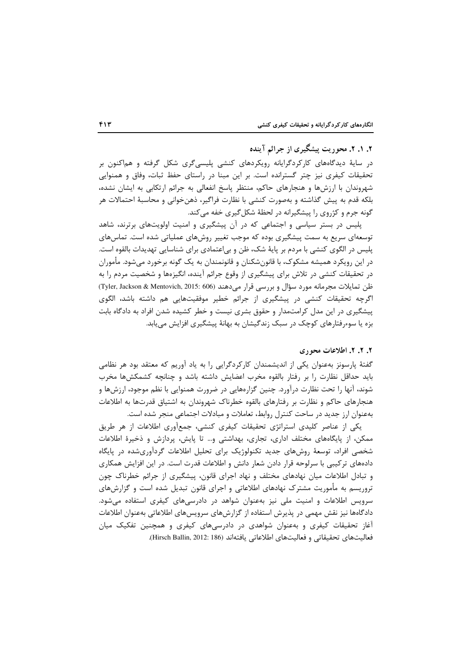۲. ۱. ۲. محوریت پیشگیری از جرائم آینده

در سایهٔ دیدگاههای کارکردگرایانه رویکردهای کنشی پلیسیگری شکل گرفته و هماکنون بر تحقیقات کیفری نیز چتر گسترانده است. بر این مبنا در راستای حفظ ثبات، وفاق و همنوایی شهروندان با ارزشها و هنجارهای حاکم، منتظر پاسخ انفعالی به جرائم ارتکابی به ایشان نشده، بلكه قدم به پیش گذاشته و بهصورت كنشی با نظارت فراگیر، ذهنِ خوانی و محاسبهٔ احتمالات هر گونه جرم و کژروی را پیشگیرانه در لحظهٔ شکل گیری خفه می کند.

پلیس در بستر سیاسی و اجتماعی که در آن پیشگیری و امنیت اولویتهای برترند، شاهد توسعهای سریع به سمت پیشگیری بوده که موجب تغییر روشهای عملیاتی شده است. تماسهای پلیس در الگوی کنشی با مردم بر پایهٔ شک، ظن و بی|عتمادی برای شناسایی تهدیدات بالقوه است. در این رویکرد همیشه مشکوک، با قانونِ شکنان و قانونمندان به یک گونه برخورد می شود. مأموران در تحقیقات کنشی در تلاش برای پیشگیری از وقوع جرائم آینده، انگیزهها و شخصیت مردم را به ظن تمايلات مجرمانه مورد سؤال و بررسي قرار ميدهند (Tyler, Jackson & Mentovich, 2015: 606) اگرچه تحقیقات کنشی در پیشگیری از جرائم خطیر موفقیتهایی هم داشته باشد، الگوی پیشگیری در این مدل کرامتمدار و حقوق بشری نیست و خطر کشیده شدن افراد به دادگاه بابت بزه یا سوءرفتارهای کوچک در سبک زندگیشان به بهانهٔ پیشگیری افزایش می یابد.

#### ۲. ۲. ۲. اطلاعات محوری

گفتهٔ پارسونز بهعنوان یکی از اندیشمندان کارکردگرایی را به یاد آوریم که معتقد بود هر نظامی باید حداقل نظارت را بر رفتار بالقوه مخرب اعضایش داشته باشد و چنانچه کشمکشها مخرب شوند، آنها را تحت نظارت درآورد. چنین گزارههایی در ضرورت همنوایی با نظم موجود، ارزشها و هنجارهای حاکم و نظارت بر رفتارهای بالقوه خطرناک شهروندان به اشتیاق قدرتها به اطلاعات بهعنوان ارز جدید در ساحت کنترل روابط، تعاملات و مبادلات اجتماعی منجر شده است.

یکی از عناصر کلیدی استراتژی تحقیقات کیفری کنشی، جمعآوری اطلاعات از هر طریق ممکن، از پایگاههای مختلف اداری، تجاری، بهداشتی و… تا پایش، پردازش و ذخیرهٔ اطلاعات شخصی افراد، توسعهٔ روشهای جدید تکنولوژیک برای تحلیل اطلاعات گردآوریشده در پایگاه دادههای ترکیبی با سرلوحه قرار دادن شعار دانش و اطلاعات قدرت است. در این افزایش همکاری و تبادل اطلاعات میان نهادهای مختلف و نهاد اجرای قانون، پیشگیری از جرائم خطرناک چون تروریسم به مأموریت مشترک نهادهای اطلاعاتی و اجرای قانون تبدیل شده است و گزارشهای سرویس اطلاعات و امنیت ملی نیز بهعنوان شواهد در دادرسیهای کیفری استفاده میشود. دادگاهها نیز نقش مهمی در پذیرش استفاده از گزارشهای سرویسهای اطلاعاتی بهعنوان اطلاعات آغاز تحقیقات کیفری و بهعنوان شواهدی در دادرسی،های کیفری و همچنین تفکیک میان فعاليتهاي تحقيقاتي و فعاليتهاي اطلاعاتي يافتهاند (Hirsch Ballin, 2012: 186).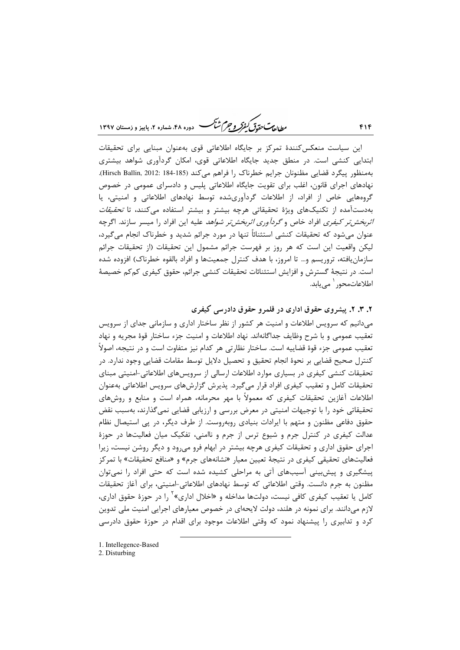ر ای<del>د کرد در</del> منتقل میگرد می دانند.<br>را داد<del>م کرد در</del> منتقل میکند و در ۴۸، شهاره ۲، مامیز و زمستان ۱۳۹۷

این سیاست منعکس کنندهٔ تمرکز بر جایگاه اطلاعاتی قوی بهعنوان مبنایی برای تحقیقات ابتدایی کنشی است. در منطق جدید جایگاه اطلاعاتی قوی، امکان گردآوری شواهد بیشتری بهمنظور پیگرد قضایی مظنونان جرایم خطرناک را فراهم می کند (Hirsch Ballin, 2012: 184-185). نهادهای اجرای قانون، اغلب برای تقویت جایگاه اطلاعاتی پلیس و دادسرای عمومی در خصوص گروههایی خاص از افراد، از اطلاعات گردآوریشده توسط نهادهای اطلاعاتی و امنیتی، یا بهدستآمده از تکنیکهای ویژهٔ تحقیقاتی هرچه بیشتر و بیشتر استفاده می *کن*ند، تا *تحقیقات اثربخش تر کیفری* افراد خاص و *گردآوری اثربخش تر شواهد* علیه این افراد را میسر سازند. اگرچه عنوان می شود که تحقیقات کنشی استثنائاً تنها در مورد جرائم شدید و خطرناک انجام می گیرد، ليكن واقعيت اين است كه هر روز بر فهرست جرائم مشمول اين تحقيقات (از تحقيقات جرائم سازمان یافته، تروریسم و… تا امروز، با هدف کنترل جمعیتها و افراد بالقوه خطرناک) افزوده شده است. در نتیجهٔ گسترش و افزایش استثنائات تحقیقات کنشی جرائم، حقوق کیفری کم کم خصیصهٔ اطلاعاتمحور ` مے یابد.

۲. ۳. ۲. پیشروی حقوق اداری در قلمرو حقوق دادرسی کیفری

 $f \upharpoonright f$ 

میدانیم که سرویس اطلاعات و امنیت هر کشور از نظر ساختار اداری و سازمانی جدای از سرویس تعقيب عمومي و با شرح وظايف جداگانهاند. نهاد اطلاعات و امنيت جزء ساختار قوۀ مجريه و نهاد تعقيب عمومي جزء قوة قضاييه است. ساختار نظارتي هر كدام نيز متفاوت است و در نتيجه، اصولاً کنترل صحیح قضایی بر نحوهٔ انجام تحقیق و تحصیل دلایل توسط مقامات قضایی وجود ندارد. در تحقیقات کنشی کیفری در بسیاری موارد اطلاعات ارسالی از سرویسهای اطلاعاتی-امنیتی مبنای تحقیقات کامل و تعقیب کیفری افراد قرار میگیرد. پذیرش گزارشهای سرویس اطلاعاتی بهعنوان اطلاعات آغازین تحقیقات کیفری که معمولاً با مهر محرمانه، همراه است و منابع و روشهای تحقیقاتی خود را با توجیهات امنیتی در معرض بررسی و ارزیابی قضایی نمی گذارند، بهسبب نقض حقوق دفاعی مظنون و متهم با ایرادات بنیادی روبهروست. از طرف دیگر، در پی استیصال نظام عدالت کیفری در کنترل جرم و شیوع ترس از جرم و ناامنی، تفکیک میان فعالیتها در حوزهٔ اجرای حقوق اداری و تحقیقات کیفری هرچه بیشتر در ابهام فرو می رود و دیگر روشن نیست، زیرا فعالیتهای تحقیقی کیفری در نتیجهٔ تعیین معیار «نشانههای جرم» و «منافع تحقیقات» با تمرکز پیشگیری و پیش بینی آسیبهای آتی به مراحلی کشیده شده است که حتی افراد را نمی توان مظنون به جرم دانست. وقتی اطلاعاتی که توسط نهادهای اطلاعاتی-امنیتی، برای آغاز تحقیقات کامل یا تعقیب کیفری کافی نیست، دولتها مداخله و «اخلال اداری» <sup>۲</sup> را در حوزهٔ حقوق اداری، لازم میدانند. برای نمونه در هلند، دولت لایحهای در خصوص معیارهای اجرایی امنیت ملی تدوین کرد و تدابیری را پیشنهاد نمود که وقتی اطلاعات موجود برای اقدام در حوزهٔ حقوق دادرسی

1. Intellegence-Based

2. Disturbing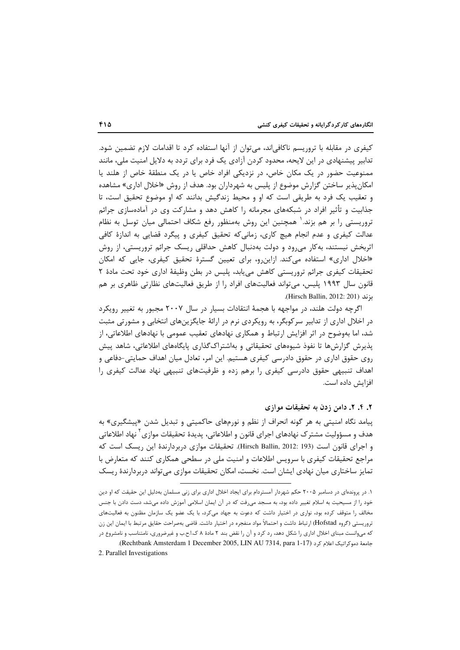کیفری در مقابله با تروریسم ناکافی|ند، می توان از آنها استفاده کرد تا اقدامات لازم تضمین شود. تدابیر پیشنهادی در این لایحه، محدود کردن آزادی یک فرد برای تردد به دلایل امنیت ملی، مانند ممنوعیت حضور در یک مکان خاص، در نزدیکی افراد خاص یا در یک منطقهٔ خاص از هلند یا امکان پذیر ساختن گزارش موضوع از پلیس به شهرداران بود. هدف از روش «اخلال اداری» مشاهده و تعقیب یک فرد به طریقی است که او و محیط زندگیش بدانند که او موضوع تحقیق است، تا جذابیت و تأثیر افراد در شبکههای مجرمانه را کاهش دهد و مشارکت وی در آمادهسازی جرائم تروریستی را بر هم بزند.' همچنین این روش بهمنظور رفع شکاف احتمالی میان توسل به نظام عدالت کیفری و عدم انجام هیچ کاری، زمانیکه تحقیق کیفری و پیگرد قضایی به اندازهٔ کافی اثربخش نیستند، به کار میرود و دولت بهدنبال کاهش حداقلی ریسک جرائم تروریستی، از روش «اخلال اداری» استفاده می کند. ازاین رو، برای تعیین گسترهٔ تحقیق کیفری، جایی که امکان تحقیقات کیفری جرائم تروریستی کاهش می پابد، پلیس در بطن وظیفهٔ اداری خود تحت مادهٔ ۲ قانون سال ۱۹۹۳ پلیس، می تواند فعالیتهای افراد را از طریق فعالیتهای نظارتی ظاهری بر هم بزند (Hirsch Ballin, 2012: 201).

اگرچه دولت هلند، در مواجهه با هجمهٔ انتقادات بسیار در سال ۲۰۰۷ مجبور به تغییر رویکرد در اخلال اداری از تدابیر سرکوبگر، به رویکردی نرم در ارائهٔ جایگزینهای انتخابی و مشورتی مثبت شد، اما بهوضوح در اثر افزایش ارتباط و همکاری نهادهای تعقیب عمومی با نهادهای اطلاعاتی، از یذیرش گزارشها تا نفوذ شیوههای تحقیقاتی و بهاشتراکگذاری پایگاههای اطلاعاتی، شاهد پیش روی حقوق اداری در حقوق دادرسی کیفری هستیم. این امر، تعادل میان اهداف حمایتی-دفاعی و اهداف تنبیهی حقوق دادرسی کیفری را برهم زده و ظرفیتهای تنبیهی نهاد عدالت کیفری را افزایش داده است.

### ۲. ۴. ۲. دامن زدن به تحقیقات موازی

پیامد نگاه امنیتی به هر گونه انحراف از نظم و نورمهای حاکمیتی و تبدیل شدن «پیشگیری» به هدف و مسؤولیت مشترک نهادهای اجرای قانون و اطلاعاتی، پدیدهٔ تحقیقات موازی ٔ نهاد اطلاعاتی و اجراي قانون است (Hirsch Ballin, 2012: 193). تحقيقات موازي دربردارندهٔ اين ريسک است که مراجع تحقیقات کیفری با سرویس اطلاعات و امنیت ملی در سطحی همکاری کنند که متعارض با تمایز ساختاری میان نهادی ایشان است. نخست، امکان تحقیقات موازی می تواند دربردارندهٔ ریسک

۱. در پروندهای در دسامبر ۲۰۰۵ حکم شهردار آمستردام برای ایجاد اخلال اداری برای زنی مسلمان بهدلیل این حقیقت که او دین .<br>خود را از مسیحیت به اسلام تغییر داده بود، به مسجد م<sub>عا</sub>رفت که در آن ایمان اسلامی آموزش داده میشد، دست دادن با جنس مخالف را متوقف کرده بود، نواری در اختیار داشت که دعوت به جهاد می کرد، با یک عضو یک سازمان مظنون به فعالیتهای تروريستي (گروه Hofstad) ارتباط داشت و احتمالاً مواد منفجره در اختيار داشت. قاضي بهصراحت حقايق مرتبط با ايمان اين زن که میوانست مبنای اخلال اداری را شکل دهد، رد کرد و آن را نقض بند ۲ مادهٔ ۸ ک.ا.ج.ب و غیرضروری، نامتناسب و نامشروع در حامعة دموكراتيك اعلام كرد (Rechtbank Amsterdam 1 December 2005, LIN AU 7314, para 1-17).

<sup>2.</sup> Parallel Investigations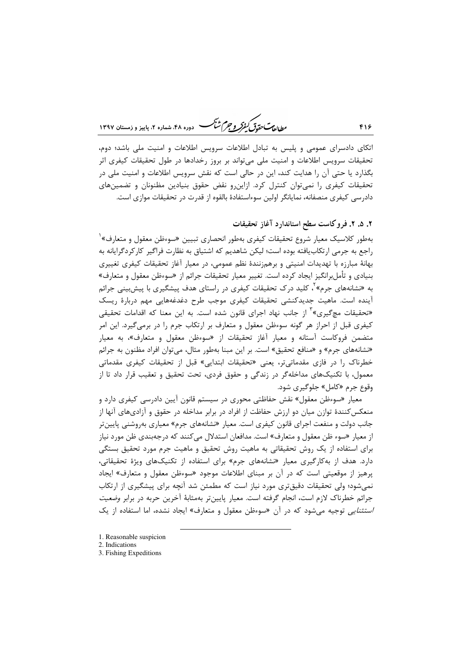بط<sub>ال</sub>ي<del>ت حة.ق</del> كيفركه و جرم ش<sup>ي</sup>كب -<br>- دوره ۴۸، شماره ۲، پاییز و زمستان ۱۳۹۷

اتکای دادسرای عمومی و پلیس به تبادل اطلاعات سرویس اطلاعات و امنیت ملی باشد؛ دوم، تحقیقات سرویس اطلاعات و امنیت ملی میتواند بر بروز رخدادها در طول تحقیقات کیفری اثر بگذارد یا حتی آن را هدایت کند، این در حالی است که نقش سرویس اطلاعات و امنیت ملی در تحقیقات کیفری را نمی توان کنترل کرد. ازاین رو نقض حقوق بنیادین مظنونان و تضمینهای دادرسی کیفری منصفانه، نمایانگر اولین سوءاستفادهٔ بالقوه از قدرت در تحقیقات موازی است.

### ۲. ۵. ۲. فروكاست سطح استاندارد آغاز تحقيقات

بهطور كلاسيك معيار شروع تحقيقات كيفرى بهطور انحصارى تبيين «سوءظن معقول و متعارف»<sup>'</sup> راجع به جرمی ارتکابیافته بوده است؛ لیکن شاهدیم که اشتیاق به نظارت فراگیر کارکردگرایانه به بهانهٔ مبارزه با تهدیدات امنیتی و برهمزنندهٔ نظم عمومی، در معیار آغاز تحقیقات کیفری تغییری بنيادي و تأمل رانگيز ايجاد كرده است. تغيير معيار تحقيقات جرائم از «سوءظن معقول و متعارف» به «نشانههای جرم»<sup>۲</sup>، کلید درک تحقیقات کیفری در راستای هدف پیشگیری با پیشبینی جرائم آینده است. ماهیت جدیدکنشی تحقیقات کیفری موجب طرح دغدغههایی مهم دربارهٔ ریسک «تحقیقات مچگیری»<sup>۳</sup> از جانب نهاد اجرای قانون شده است. به این معنا که اقدامات تحقیقی کیفری قبل از احراز هر گونه سوءظن معقول و متعارف بر ارتکاب جرم را در برمی گیرد. این امر متضمن فروکاست آستانه و معیار آغاز تحقیقات از «سوءظن معقول و متعارف»، به معیار «نشانههای جرم» و «منافع تحقیق» است. بر این مبنا بهطور مثال، میتوان افراد مظنون به جرائم خطرناک را در فازی مقدماتی تر، یعنی «تحقیقات ابتدایی» قبل از تحقیقات کیفری مقدماتی معمول، با تکنیکهای مداخلهگر در زندگی و حقوق فردی، تحت تحقیق و تعقیب قرار داد تا از وقوع جرم «کامل» جلوگیری شود.

معیار «سوءظن معقول» نقش حفاظتی محوری در سیستم قانون آیین دادرسی کیفری دارد و منعکس کنندهٔ توازن میان دو ارزش حفاظت از افراد در برابر مداخله در حقوق و آزادیهای آنها از جانب دولت و منفعت اجراي قانون كيفري است. معيار «نشانههاي جرم» معياري بهروشني پايينتر از معيار «سوء ظن معقول و متعارف» است. مدافعان استدلال مي كنند كه درجهبندي ظن مورد نياز برای استفاده از یک روش تحقیقاتی به ماهیت روش تحقیق و ماهیت جرم مورد تحقیق بستگی دارد. هدف از به کارگیری معیار «نشانههای جرم» برای استفاده از تکنیکهای ویژهٔ تحقیقاتی، یرهیز از موقعیتی است که در آن بر مبنای اطلاعات موجود «سوءظن معقول و متعارف» ایجاد نمے,شود؛ ولی تحقیقات دقیق،تری مورد نیاز است که مطمئن شد آنچه برای پیشگیری از ارتکاب جرائم خطرناک لازم است، انجام گرفته است. معیار پایینتر بهمثابهٔ اَخرین حربه در برابر *وضعیت* /ستثنایی توجیه می شود که در آن «سوءظن معقول و متعارف» ایجاد نشده، اما استفاده از یک

1. Reasonable suspicion

3. Fishing Expeditions

<sup>2.</sup> Indications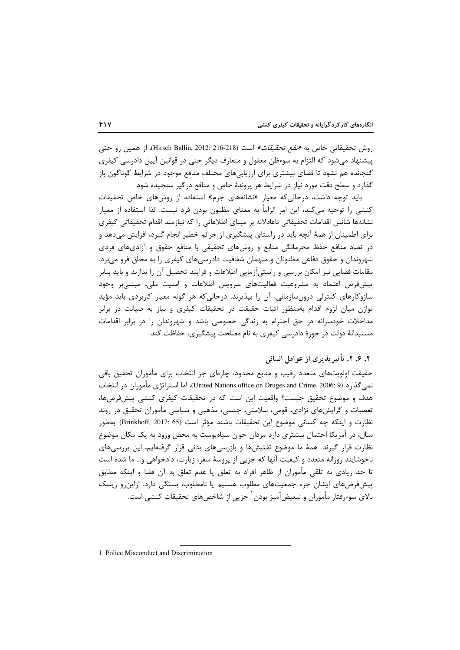روش تحقیقاتی خاص به *«نفع تحقیقات»* است (218-216 :Hirsch Ballin, 2012). از همین رو حتی پیشنهاد میشود که التزام به سوءظن معقول و متعارف دیگر حتی در قوانین آیین دادرسی کیفری گنجانده هم نشود تا فضای بیشتری برای ارزیابیهای مختلف منافع موجود در شرایط گوناگون باز گذارد و سطح دقت مورد نیاز در شرایط هر پروندهٔ خاص و منافع درگیر سنجیده شود.

باید توجه داشت، درحالی که معیار «نشانههای جرم» استفاده از روشهای خاص تحقیقات کنشی را توجیه میکند، این امر الزاماً به معنای مظنون بودن فرد نیست. لذا استفاده از معیار نشانهها شانس اقدامات تحقیقاتی ناعادلانه بر مبنای اطلاعاتی را که نیازمند اقدام تحقیقاتی کیفری برای اطمینان از همهٔ آنچه باید در راستای پیشگیری از جرائم خطیر انجام گیرد، افزایش میدهد و در تضاد منافع حفظ محرمانگی منابع و روشهای تحقیقی با منافع حقوق و آزادیهای فردی شهروندان و حقوق دفاعی مظنونان و متهمان شفافیت دادرسی های کیفری را به محاق فرو میبرد. مقامات قضایی نیز امکان بررسی و راستیآزمایی اطلاعات و فرایند تحصیل آن را ندارند و باید بنابر پیش فرض اعتماد به مشروعیت فعالیتهای سرویس اطلاعات و امنیت ملی، مبتنی بر وجود سازوکارهای کنترلی درون،سازمانی، آن را بیذیرند. درحالی که هر گونه معیار کاربردی باید مؤید توازن میان لزوم اقدام بهمنظور اثبات حقیقت در تحقیقات کیفری و نیاز به صیانت در برابر مداخلات خودسرانه در حق احترام به زندگی خصوصی باشد و شهروندان را در برابر اقدامات مستبدانهٔ دولت در حوزهٔ دادرسی کیفری به نام مصلحت پیشگیری، حفاظت کند.

## ۲. ۶. ۲. تأثیریذیری از عوامل انسانی

حقیقت اولویتهای متعدد رقیب و منابع محدود، چارەای جز انتخاب برای مأموران تحقیق باقی نمي گذارد (United Nations office on Druges and Crime, 2006: 9)، اما استراتژي مأموران در انتخاب هدف و موضوع تحقیق چیست؟ واقعیت این است که در تحقیقات کیفری کنشی پیشفرضها، تعصبات و گرایشهای نژادی، قومی، سلامتی، جنسی، مذهبی و سیاسی مأموران تحقیق در روند نظارت و اینکه چه کسانی موضوع این تحقیقات باشند مؤثر است (Brinkhoff, 2017: 65) بهطور مثال، در آمریکا احتمال بیشتری دارد مردان جوان سیاهپوست به محض ورود به یک مکان موضوع نظارت قرار گیرند. همهٔ ما موضوع تفتیشها و بازرسیهای بدنی قرار گرفتهایم، این بررسیهای ناخوشایند روزانه متعدد و کیفیت آنها که جزیی از پروسهٔ سفر، زیارت، دادخواهی و… ما شده است تا حد زیادی به تلقی مأموران از ظاهر افراد به تعلق یا عدم تعلق به آن فضا و اینکه مطابق پیشفرضهای ایشان جزء جمعیتهای مطلوب هستیم یا نامطلوب، بستگی دارد. ازاین و ریسک بالای سوءرفتار مأموران و تبعیضآمیز بودن ٰ جزیی از شاخصهای تحقیقات کنشی است.

1. Police Misconduct and Discrimination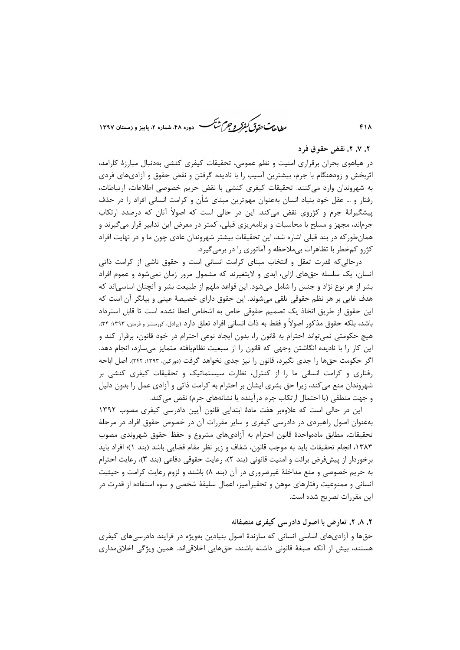*طابع<sup>ت</sup> حقوق كفركو جع شبح* ۰<br>دوره ۴۸، شماره ۲، باییز و زمستان ۱۳۹۷

### ٢. ٧. ٢. نقض حقوق فرد

در هیاهوی بحران برقراری امنیت و نظم عمومی، تحقیقات کیفری کنشی بهدنبال مبارزهٔ کارامد، اثربخش و زودهنگام با جرم، بیشترین آسیب را با نادیده گرفتن و نقض حقوق و آزادیهای فردی به شهروندان وارد میکنند. تحقیقات کیفری کنشی با نقض حریم خصوصی اطلاعات، ارتباطات، رفتار و … عقل خود بنیاد انسان بهعنوان مهمترین مبنای شأن و کرامت انسانی افراد را در حذف پیشگیرانهٔ جرم و کژروی نقض میکند. این در حالی است که اصولاً آنان که درصدد ارتکاب جرماند، مجهز و مسلح با محاسبات و برنامهریزی قبلی، کمتر در معرض این تدابیر قرار میگیرند و همانطورکه در بند قبلی اشاره شد، این تحقیقات بیشتر شهروندان عادی چون ما و در نهایت افراد کژرو کمخطر با تظاهرات بی،ملاحظه و آماتوری را در برمی گیرد.

درحالی که قدرت تعقل و انتخاب مبنای کرامت انسانی است و حقوق ناشی از کرامت ذاتی انسان، یک سلسله حقهای ازلی، ابدی و لایتغیرند که مشمول مرور زمان نمی شود و عموم افراد بشر از هر نوع نژاد و جنس را شامل میشود. این قواعد ملهم از طبیعت بشر و آنچنان اساسی|ند که هدف غايي بر هر نظم حقوقي تلقي ميشوند. اين حقوق داراي خصيصهٔ عيني و بيانگر آن است كه این حقوق از طریق اتخاذ یک تصمیم حقوقی خاص به اشخاص اعطا نشده است تا قابل استرداد باشد، بلکه حقوق مذکور اصولاً و فقط به ذات انسانی افراد تعلق دارد (پرادل، کورستنز و فرملن، ۱۳۹۳: ۳۴). هیچ حکومتی نمی تواند احترام به قانون را، بدون ایجاد نوعی احترام در خود قانون، برقرار کند و این کار را با نادیده انگاشتن وجهی که قانون را از سبعیت نظامیافته متمایز می سازد، انجام دهد. اگر حکومت حقها را جدی نگیرد، قانون را نیز جدی نخواهد گرفت (دورکین، ۱۳۹۳: ۲۴۲). اصل اباحه رفتاری و کرامت انسانی ما را از کنترل، نظارت سیستماتیک و تحقیقات کیفری کنشی بر شهروندان منع میکند، زیرا حق بشری ایشان بر احترام به کرامت ذاتی و آزادی عمل را بدون دلیل و جهت منطقی (با احتمال ارتکاب جرم درآینده یا نشانههای جرم) نقض می کند.

این در حالی است که علاوهبر هفت مادهٔ ابتدایی قانون آیین دادرسی کیفری مصوب ١٣٩٢ بهعنوان اصول راهبردی در دادرسی کیفری و سایر مقررات آن در خصوص حقوق افراد در مرحلهٔ تحقیقات، مطابق مادهواحدهٔ قانون احترام به آزادیهای مشروع و حفظ حقوق شهروندی مصوب ١٣٨٣، انجام تحقيقات بايد به موجب قانون، شفاف و زير نظر مقام قضايي باشد (بند ١)؛ افراد بايد برخوردار از پیشفرض برائت و امنیت قانونی (بند ۲)، رعایت حقوقی دفاعی (بند ۳)، رعایت احترام به حریم خصوصی و منع مداخلهٔ غیرضروری در آن (بند ۸) باشند و لزوم رعایت کرامت و حیثیت انسانی و ممنوعیت رفتارهای موهن و تحقیرآمیز، اعمال سلیقهٔ شخصی و سوء استفاده از قدرت در این مقررات تصریح شده است.

۲. ۸. ۲. تعارض با اصول دادرسی کیفری منصفانه حقها و آزادیهای اساسی انسانی که سازندهٔ اصول بنیادین بهویژه در فرایند دادرسی های کیفری هستند، بیش از آنکه صبغهٔ قانونی داشته باشند، حقهایی اخلاقی|ند. همین ویژگی اخلاق،مداری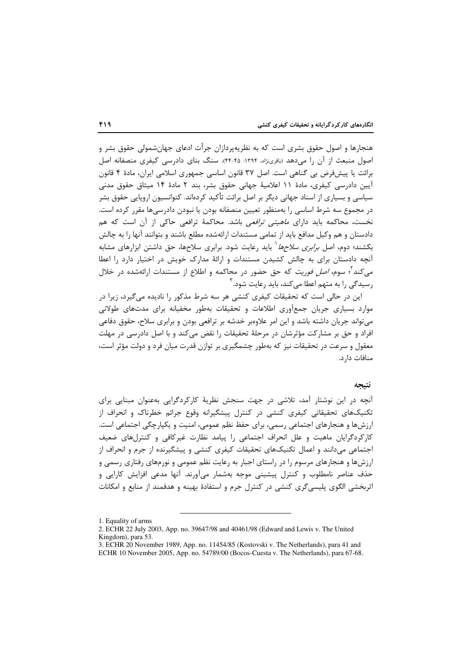هنجارها و اصول حقوق بشری است که به نظریهپردازان جرأت ادعای جهانشمولی حقوق بشر و اصول منبعث از آن را میدهد (باقرینژاد، ۱۳۹۴: ۴۵-۴۴). سنگ بنای دادرسی کیفری منصفانه اصل برائت یا پیشفرض ہی گناهی است. اصل ۳۷ قانون اساسی جمهوری اسلامی ایران، مادهٔ ۴ قانون آیین دادرسی کیفری، مادهٔ ۱۱ اعلامیهٔ جهانی حقوق بشر، بند ۲ مادهٔ ۱۴ میثاق حقوق مدنی سیاسی و بسیاری از اسناد جهانی دیگر بر اصل برائت تأکید کردهاند. کنوانسیون اروپایی حقوق بشر در مجموع سه شرط اساسی را بهمنظور تعیین منصفانه بودن یا نبودن دادرسیها مقرر کرده است. نخست، محاکمه باید دارای *ماهیتی ترافعی* باشد. محاکمهٔ ترافعی حاکی از آن است که هم دادستان و هم وکیل مدافع باید از تمامی مستندات ارائهشده مطلع باشند و بتوانند آنها را به چالش بکشند؛ دوم، اصل *برابری سلاحها* <sup>۱</sup> باید رعایت شود. برابری سلاحها، حق داشتن ابزارهای مشابه آنچه دادستان برای به چالش کشیدن مستندات و ارائهٔ مدارک خویش در اختیار دارد را اعطا می کند<sup>۲</sup>؛ سوم، *اصل فوریت* که حق حضور در محاکمه و اطلاع از مستندات ارائهشده در خلال رسیدگی را به متهم اعطا میکند، باید رعایت شود.<sup>۳</sup>

این در حالی است که تحقیقات کیفری کنشی هر سه شرط مذکور را نادیده میگیرد، زیرا در موارد بسیاری جریان جمعآوری اطلاعات و تحقیقات بهطور مخفیانه برای مدتهای طولانی می تواند جریان داشته باشد و این امر علاوهبر خدشه بر ترافعی بودن و برابری سلاح، حقوق دفاعی افراد و حق بر مشارکت مؤثرشان در مرحلهٔ تحقیقات را نقض می کند و با اصل دادرسی در مهلت معقول و سرعت در تحقیقات نیز که بهطور چشمگیری بر توازن قدرت میان فرد و دولت مؤثر است، منافات دارد.

#### نتىحە

آنچه در این نوشتار آمد، تلاشی در جهت سنجش نظریهٔ کارکردگرایی بهعنوان مبنایی برای تکنیکهای تحقیقاتی کیفری کنشی در کنترل پیشگیرانه وقوع جرائم خطرناک و انحراف از ارزشها و هنجارهای اجتماعی رسمی، برای حفظ نظم عمومی، امنیت و یکپارچگی اجتماعی است. کا, کردگرایان ماهیت و علل انحراف اجتماعی را پیامد نظارت غیرکافی و کنترلهای ضعیف اجتماعی میدانند و اعمال تکنیکهای تحقیقات کیفری کنشی و پیشگیرنده از جرم و انحراف از ارزشها و هنجارهای مرسوم را در راستای اجبار به رعایت نظم عمومی و نورمهای رفتاری رسمی و حذف عناصر نامطلوب و کنترل پیشینی موجه بهشمار میآورند. آنها مدعی افزایش کارایی و اثربخشی الگوی پلیسی گری کنشی در کنترل جرم و استفادهٔ بهینه و هدفمند از منابع و امکانات

<sup>1.</sup> Equality of arms

<sup>2.</sup> ECHR 22 July 2003, App. no. 39647/98 and 40461/98 (Edward and Lewis v. The United Kingdom), para 53.

<sup>3.</sup> ECHR 20 November 1989, App. no. 11454/85 (Kostovski v. The Netherlands), para 41 and ECHR 10 November 2005, App. no. 54789/00 (Bocos-Cuesta v. The Netherlands), para 67-68.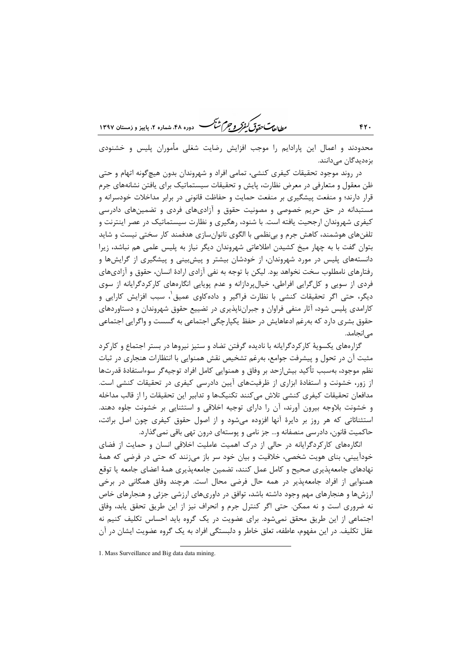*مطالعات حقاق کیف<mark>وگر و ج</mark>م شنگ* دوره ۴۸، شماره ۲، پاییز و زمستان ۱۳۹۷

محدودند و اعمال این پارادایم را موجب افزایش رضایت شغلی مأموران پلیس و خشنودی بزەدىدگان مى دانند.

 $rr.$ 

در روند موجود تحقیقات کیفری کنشی، تمامی افراد و شهروندان بدون هیچگونه اتهام و حتی ظن معقول و متعارفی در معرض نظارت، پایش و تحقیقات سیستماتیک برای یافتن نشانههای جرم قرار دارند؛ و منفعت پیشگیری بر منفعت حمایت و حفاظت قانونی در برابر مداخلات خودسرانه و مستبدانه در حق حریم خصوصی و مصونیت حقوق و آزادیهای فردی و تضمینهای دادرسی کیفری شهروندان ارجحیت یافته است. با شنود، رهگیری و نظارت سیستماتیک در عصر اینترنت و تلفنهای هوشمند، کاهش جرم و بینظمی با الگوی ناتوانسازی هدفمند کار سختی نیست و شاید بتوان گفت با به چهار میخ کشیدن اطلاعاتی شهروندان دیگر نیاز به پلیس علمی هم نباشد، زیرا دانستههای پلیس در مورد شهروندان، از خودشان بیشتر و پیش بینی و پیشگیری از گرایشها و رفتارهای نامطلوب سخت نخواهد بود. لیکن با توجه به نفی آزادی ارادهٔ انسان، حقوق و آزادیهای فردی از سویی و کل گرایی افراطی، خیالپردازانه و عدم پویایی انگارههای کارکردگرایانه از سوی دیگر، حتی اگر تحقیقات کنشی با نظارت فراگیر و دادهکاوی عمیق ٰ، سبب افزایش کارایی و کارامدی پلیس شود، آثار منفی فراوان و جبراننایذیری در تضییع حقوق شهروندان و دستاوردهای حقوق بشری دارد که بهرغم ادعاهایش در حفظ یکپارچگی اجتماعی به گسست و واگرایی اجتماعی مے انجامد.

گزارههای پکسویهٔ کارکردگرایانه با نادیده گرفتن تضاد و ستیز نیروها در بستر اجتماع و کارکرد مثبت آن در تحول و پیشرفت جوامع، بهرغم تشخیص نقش همنوایی با انتظارات هنجاری در ثبات نظم موجود، بەسبب تأكيد بيش|زحد بر وفاق و همنوايي كامل افراد توجيەگر سوءاستفادۀ قدرتها از زور، خشونت و استفادهٔ ابزاری از ظرفیتهای آیین دادرسی کیفری در تحقیقات کنشی است. مدافعان تحقيقات كيفري كنشي تلاش مي كنند تكنيكها و تدابير اين تحقيقات را از قالب مداخله و خشونت بلاوجه بیرون آورند، آن را دارای توجیه اخلاقی و استثنایی بر خشونت جلوه دهند. استثنائاتی که هر روز بر دایرهٔ آنها افزوده می شود و از اصول حقوق کیفری چون اصل برائت، حاکمیت قانون، دادرسی منصفانه و… جز نامی و پوستهای درون تهی باقی نمیگذارد.

انگارههای کارکردگرایانه در حالی از درک اهمیت عاملیت اخلاقی انسان و حمایت از فضای خودآیینی، بنای هویت شخصی، خلاقیت و بیان خود سر باز میزنند که حتی در فرضی که همهٔ نهادهای جامعهپذیری صحیح و کامل عمل کنند، تضمین جامعهپذیری همهٔ اعضای جامعه یا توقع همنوایی از افراد جامعهپذیر در همه حال فرضی محال است. هرچند وفاق همگانی در برخی ارزشها و هنجارهای مهم وجود داشته باشد، توافق در داوریهای ارزشی جزئی و هنجارهای خاص نه ضروری است و نه ممکن. حتی اگر کنترل جرم و انحراف نیز از این طریق تحقق پابد، وفاق اجتماعی از این طریق محقق نمیشود. برای عضویت در یک گروه باید احساس تکلیف کنیم نه عقل تکلیف. در این مفهوم، عاطفه، تعلق خاطر و دلبستگی افراد به یک گروه عضویت ایشان در آن

<sup>1.</sup> Mass Surveillance and Big data data mining.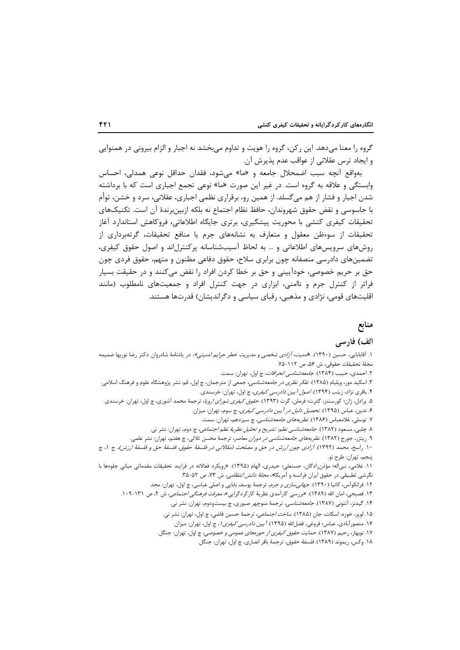گروه را معنا میدهد. این رکن، گروه را هویت و تداوم می بخشد نه اجبار و الزام بیرونی در همنوایی و ايجاد ترس عقلاني از عواقب عدم پذيرش آن.

بهواقع آنچه سبب اضمحلال جامعه و «ما» می شود، فقدان حداقل نوعی همدلی، احساس وابستگی و علاقه به گروه است. در غیر این صورت «ما» نوعی تجمع اجباری است که با برداشته شدن اجبار و فشار از هم میگسلد. از همین رو، برقراری نظمی اجباری، عقلانی، سرد و خشن، توأم با جاسوسی و نقض حقوق شهروندان، حافظ نظام اجتماع نه بلکه ازبینبرندهٔ آن است. تکنیکهای تحقیقات کیفری کنشی با محوریت پیشگیری، برتری جایگاه اطلاعاتی، فروکاهش استاندارد آغاز تحقیقات از سوءظن معقول و متعارف به نشانههای جرم یا منافع تحقیقات، گرتهبرداری از روشهای سرویسهای اطلاعاتی و … به لحاظ آسیبشناسانه پرکنترل|ند و اصول حقوق کیفری، تضمینهای دادرسی منصفانه چون برابری سلاح، حقوق دفاعی مظنون و متهم، حقوق فردی چون حق بر حريم خصوصي، خودآييني و حق بر خطا كردن افراد را نقض مي كنند و در حقيقت بسيار فراتر از کنترل جرم و ناامنی، ابزاری در جهت کنترل افراد و جمعیتهای نامطلوب (مانند اقلیتهای قومی، نژادی و مذهبی، رقبای سیاسی و دگراندیشان) قدرتها هستند.

## منابع

## الف) فارسى

۱. آقابابایی، حسین (۱۳۹۰). «*امنیت، آزادی شخصی و مدیریت خطر جرایم امنیتی»*، در یادنامهٔ شادروان دکتر رضا نوربها ضمیمه مجلة تحقيقات حقوقي، ش ۵۶، ص ۱۱۲-۷۵. ۲. احمدی، حبیب (۱۳۸۴). *جامعهشناسی انحرافات*، چ اول، تهران: سمت. ۳. اسکید مور، ویلیام (۱۳۸۵). *تفکر نظری در جامعهشناسی*، جمعی از مترجمان، چ اول، قم: نشر پژوهشگاه علوم و فرهنگ اسلامی. ۴. باقری نژاد، زینب (۱۳۹۴). *اصول آیین دادرسی کیفری*، چ اول، تهران: خرسندی. ۵. پرادل، ژان؛ کورستنز، گئرت؛ فرملن، گرت (۱۳۹۳). ح*قوق کیفری شورای اروپا*، ترجمهٔ محمد آشوری، چ اول، تهران: خرسندی. ۶. تدین، عباس (۱۳۹۵). *تحصیل دلیل در آیین دادرسی کیفری*، چ سوم، تهران: میزان. ۷. توسلی، غلامعباس (۱۳۸۶). *نظریههای جامعهشناسی،* چ سیزدهم، تهران: سمت. ٨. چلبی، مسعود (١٣٨٢). *جامعهشناسی نظم: تشریح و تحلیل نظریهٔ نظم اجتماعی*، چ دوم، تهران: نشر نی. ۹. ريتزر، جورج (۱۳۸۲). *نظريههاي جامعهشناسي در دوران معاصر*، ترجمهٔ محسن ثلاثي، چ هفتم، تهران: نشر علمي. ۱۰. راسخ، محمد (۱۳۹۲). آزادی چون ارزش در حق و مصلحت (مقالاتی در فلسفهٔ حقوق، فلسفهٔ حق و فلسفهٔ ارزش)، ج ۱، چ پنجم، تهران: طرح نو. ١١. غلامي، نبي|له؛ مؤذن;إدگان، حسنعلي؛ حيدري، الهام (١٣٩۵). «رويكرد فعالانه در فرايند تحقيقات مقدماتي مباني جلومها با نگرشی تطبیقی در حقوق ایران فرانسه و آمریکا»، *مجلهٔ دانش انتظامی*، ش ۷۳، ص ۵۲-۳۵. ۱۲. فرانکوآس، کاتیا (۱۳۹۰). *جهانیسازی و جرم،* ترجمهٔ یوسف بابایی و اصلی عباسی، چ اول، تهران: مجد. ۱۳. فصیحی، امان الله (۱۳۸۹). «بررسی کارآمدی نظریهٔ کارکردگرایی»، *معرفت فرهنگی اجتماعی*، ش ۲، ص ۱۳۱-۱۰۹. ۱۴. گیدنز، آنتونی (۱۳۸۷). *جامعهشناسی،* ترجمهٔ منوچهر صبوری، چ بیستودوم، تهران: نشر نی. ۱۵. لويز، خوزه، اسكات، جان (۱۳۸۵). *ساخت اجتماعي*، ترجمهٔ حسين قاضي، چ اول، تهران: نشر ني. ۱۶. منصور آبادی، عباس؛ فروغی، فضل|لله (۱۳۹۵). *آ یین دادرسی کیفری1،* چ اول، تهران: میزان.

۱۷. نوبهار، رحیم (۱۳۸۷). *حمایت حقوق کیفری از حوزههای عمومی و خصوصی*، چ اول، تهران: جنگل.

١٨. وكس، ريموند (١٣٨٩). *فلسفة حقوق*، ترجمة باقر انصارى، چ اول، تهران: جنگل.